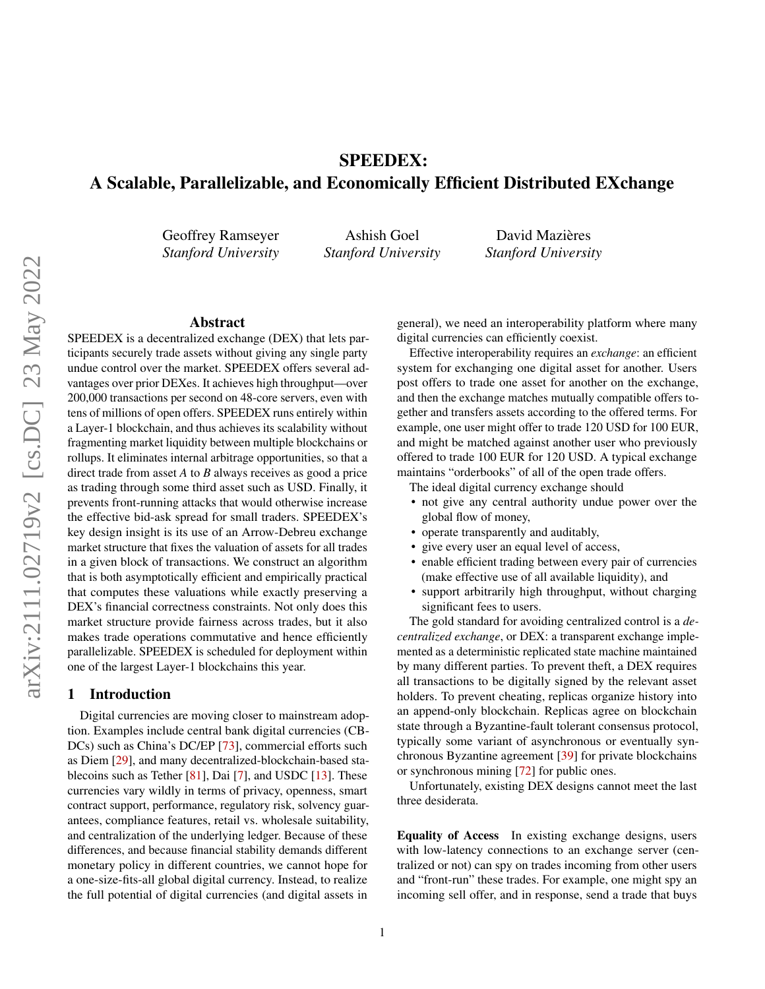# SPEEDEX: A Scalable, Parallelizable, and Economically Efficient Distributed EXchange

Geoffrey Ramseyer *Stanford University*

Ashish Goel *Stanford University*

David Mazières *Stanford University*

#### Abstract

SPEEDEX is a decentralized exchange (DEX) that lets participants securely trade assets without giving any single party undue control over the market. SPEEDEX offers several advantages over prior DEXes. It achieves high throughput—over 200,000 transactions per second on 48-core servers, even with tens of millions of open offers. SPEEDEX runs entirely within a Layer-1 blockchain, and thus achieves its scalability without fragmenting market liquidity between multiple blockchains or rollups. It eliminates internal arbitrage opportunities, so that a direct trade from asset *A* to *B* always receives as good a price as trading through some third asset such as USD. Finally, it prevents front-running attacks that would otherwise increase the effective bid-ask spread for small traders. SPEEDEX's key design insight is its use of an Arrow-Debreu exchange market structure that fixes the valuation of assets for all trades in a given block of transactions. We construct an algorithm that is both asymptotically efficient and empirically practical that computes these valuations while exactly preserving a DEX's financial correctness constraints. Not only does this market structure provide fairness across trades, but it also makes trade operations commutative and hence efficiently parallelizable. SPEEDEX is scheduled for deployment within one of the largest Layer-1 blockchains this year.

# 1 Introduction

Digital currencies are moving closer to mainstream adoption. Examples include central bank digital currencies (CB-DCs) such as China's DC/EP [\[73\]](#page-15-0), commercial efforts such as Diem [\[29\]](#page-13-0), and many decentralized-blockchain-based sta-blecoins such as Tether [\[81\]](#page-15-1), Dai [\[7\]](#page-12-0), and USDC [\[13\]](#page-12-1). These currencies vary wildly in terms of privacy, openness, smart contract support, performance, regulatory risk, solvency guarantees, compliance features, retail vs. wholesale suitability, and centralization of the underlying ledger. Because of these differences, and because financial stability demands different monetary policy in different countries, we cannot hope for a one-size-fits-all global digital currency. Instead, to realize the full potential of digital currencies (and digital assets in

general), we need an interoperability platform where many digital currencies can efficiently coexist.

Effective interoperability requires an *exchange*: an efficient system for exchanging one digital asset for another. Users post offers to trade one asset for another on the exchange, and then the exchange matches mutually compatible offers together and transfers assets according to the offered terms. For example, one user might offer to trade 120 USD for 100 EUR, and might be matched against another user who previously offered to trade 100 EUR for 120 USD. A typical exchange maintains "orderbooks" of all of the open trade offers.

The ideal digital currency exchange should

- not give any central authority undue power over the global flow of money,
- operate transparently and auditably,
- give every user an equal level of access,
- enable efficient trading between every pair of currencies (make effective use of all available liquidity), and
- support arbitrarily high throughput, without charging significant fees to users.

The gold standard for avoiding centralized control is a *decentralized exchange*, or DEX: a transparent exchange implemented as a deterministic replicated state machine maintained by many different parties. To prevent theft, a DEX requires all transactions to be digitally signed by the relevant asset holders. To prevent cheating, replicas organize history into an append-only blockchain. Replicas agree on blockchain state through a Byzantine-fault tolerant consensus protocol, typically some variant of asynchronous or eventually synchronous Byzantine agreement [\[39\]](#page-13-1) for private blockchains or synchronous mining [\[72\]](#page-15-2) for public ones.

Unfortunately, existing DEX designs cannot meet the last three desiderata.

Equality of Access In existing exchange designs, users with low-latency connections to an exchange server (centralized or not) can spy on trades incoming from other users and "front-run" these trades. For example, one might spy an incoming sell offer, and in response, send a trade that buys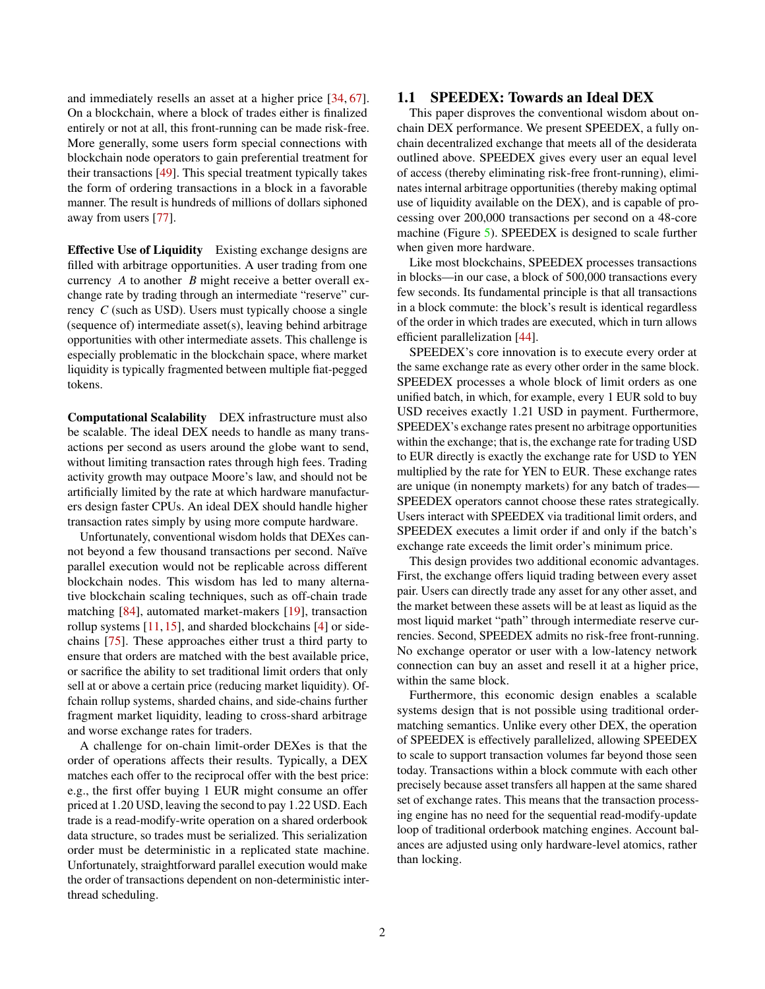and immediately resells an asset at a higher price [\[34,](#page-13-2) [67\]](#page-15-3). On a blockchain, where a block of trades either is finalized entirely or not at all, this front-running can be made risk-free. More generally, some users form special connections with blockchain node operators to gain preferential treatment for their transactions [\[49\]](#page-14-0). This special treatment typically takes the form of ordering transactions in a block in a favorable manner. The result is hundreds of millions of dollars siphoned away from users [\[77\]](#page-15-4).

Effective Use of Liquidity Existing exchange designs are filled with arbitrage opportunities. A user trading from one currency *A* to another *B* might receive a better overall exchange rate by trading through an intermediate "reserve" currency *C* (such as USD). Users must typically choose a single (sequence of) intermediate asset(s), leaving behind arbitrage opportunities with other intermediate assets. This challenge is especially problematic in the blockchain space, where market liquidity is typically fragmented between multiple fiat-pegged tokens.

Computational Scalability DEX infrastructure must also be scalable. The ideal DEX needs to handle as many transactions per second as users around the globe want to send, without limiting transaction rates through high fees. Trading activity growth may outpace Moore's law, and should not be artificially limited by the rate at which hardware manufacturers design faster CPUs. An ideal DEX should handle higher transaction rates simply by using more compute hardware.

Unfortunately, conventional wisdom holds that DEXes cannot beyond a few thousand transactions per second. Naïve parallel execution would not be replicable across different blockchain nodes. This wisdom has led to many alternative blockchain scaling techniques, such as off-chain trade matching [\[84\]](#page-15-5), automated market-makers [\[19\]](#page-13-3), transaction rollup systems [\[11,](#page-12-2) [15\]](#page-12-3), and sharded blockchains [\[4\]](#page-12-4) or sidechains [\[75\]](#page-15-6). These approaches either trust a third party to ensure that orders are matched with the best available price, or sacrifice the ability to set traditional limit orders that only sell at or above a certain price (reducing market liquidity). Offchain rollup systems, sharded chains, and side-chains further fragment market liquidity, leading to cross-shard arbitrage and worse exchange rates for traders.

A challenge for on-chain limit-order DEXes is that the order of operations affects their results. Typically, a DEX matches each offer to the reciprocal offer with the best price: e.g., the first offer buying 1 EUR might consume an offer priced at 1.20 USD, leaving the second to pay 1.22 USD. Each trade is a read-modify-write operation on a shared orderbook data structure, so trades must be serialized. This serialization order must be deterministic in a replicated state machine. Unfortunately, straightforward parallel execution would make the order of transactions dependent on non-deterministic interthread scheduling.

# 1.1 SPEEDEX: Towards an Ideal DEX

This paper disproves the conventional wisdom about onchain DEX performance. We present SPEEDEX, a fully onchain decentralized exchange that meets all of the desiderata outlined above. SPEEDEX gives every user an equal level of access (thereby eliminating risk-free front-running), eliminates internal arbitrage opportunities (thereby making optimal use of liquidity available on the DEX), and is capable of processing over 200,000 transactions per second on a 48-core machine (Figure [5\)](#page-9-0). SPEEDEX is designed to scale further when given more hardware.

Like most blockchains, SPEEDEX processes transactions in blocks—in our case, a block of 500,000 transactions every few seconds. Its fundamental principle is that all transactions in a block commute: the block's result is identical regardless of the order in which trades are executed, which in turn allows efficient parallelization [\[44\]](#page-14-1).

SPEEDEX's core innovation is to execute every order at the same exchange rate as every other order in the same block. SPEEDEX processes a whole block of limit orders as one unified batch, in which, for example, every 1 EUR sold to buy USD receives exactly 1.21 USD in payment. Furthermore, SPEEDEX's exchange rates present no arbitrage opportunities within the exchange; that is, the exchange rate for trading USD to EUR directly is exactly the exchange rate for USD to YEN multiplied by the rate for YEN to EUR. These exchange rates are unique (in nonempty markets) for any batch of trades— SPEEDEX operators cannot choose these rates strategically. Users interact with SPEEDEX via traditional limit orders, and SPEEDEX executes a limit order if and only if the batch's exchange rate exceeds the limit order's minimum price.

This design provides two additional economic advantages. First, the exchange offers liquid trading between every asset pair. Users can directly trade any asset for any other asset, and the market between these assets will be at least as liquid as the most liquid market "path" through intermediate reserve currencies. Second, SPEEDEX admits no risk-free front-running. No exchange operator or user with a low-latency network connection can buy an asset and resell it at a higher price, within the same block.

Furthermore, this economic design enables a scalable systems design that is not possible using traditional ordermatching semantics. Unlike every other DEX, the operation of SPEEDEX is effectively parallelized, allowing SPEEDEX to scale to support transaction volumes far beyond those seen today. Transactions within a block commute with each other precisely because asset transfers all happen at the same shared set of exchange rates. This means that the transaction processing engine has no need for the sequential read-modify-update loop of traditional orderbook matching engines. Account balances are adjusted using only hardware-level atomics, rather than locking.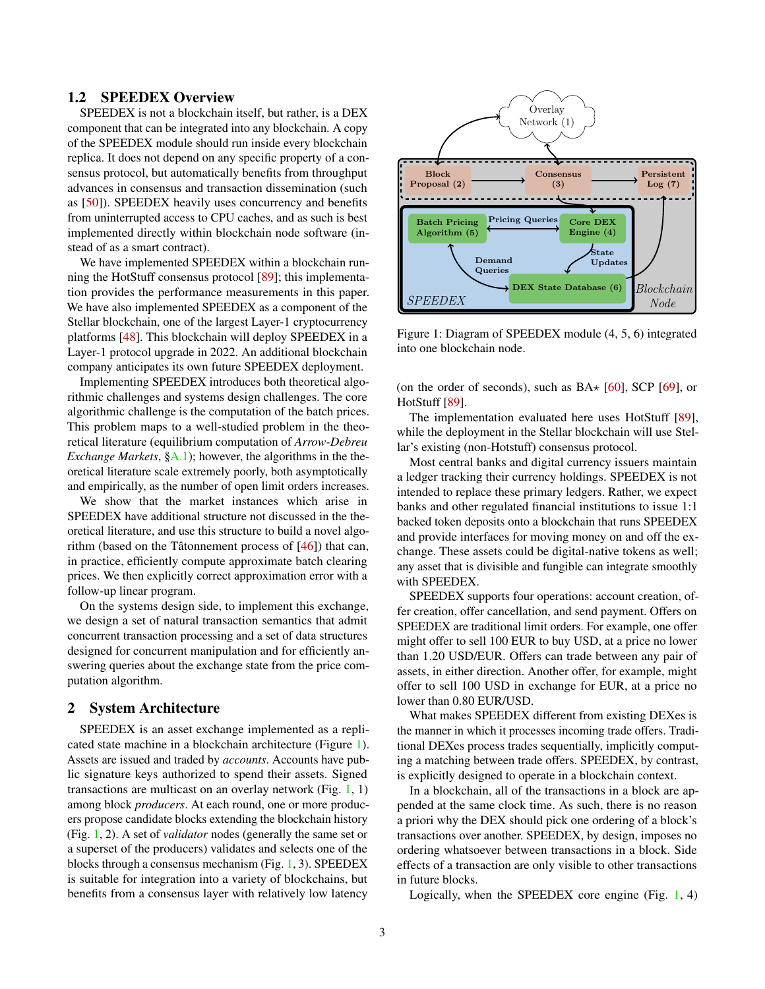# 1.2 SPEEDEX Overview

SPEEDEX is not a blockchain itself, but rather, is a DEX component that can be integrated into any blockchain. A copy of the SPEEDEX module should run inside every blockchain replica. It does not depend on any specific property of a consensus protocol, but automatically benefits from throughput advances in consensus and transaction dissemination (such as [\[50\]](#page-14-2)). SPEEDEX heavily uses concurrency and benefits from uninterrupted access to CPU caches, and as such is best implemented directly within blockchain node software (instead of as a smart contract).

We have implemented SPEEDEX within a blockchain running the HotStuff consensus protocol [\[89\]](#page-16-0); this implementation provides the performance measurements in this paper. We have also implemented SPEEDEX as a component of the Stellar blockchain, one of the largest Layer-1 cryptocurrency platforms [\[48\]](#page-14-3). This blockchain will deploy SPEEDEX in a Layer-1 protocol upgrade in 2022. An additional blockchain company anticipates its own future SPEEDEX deployment.

Implementing SPEEDEX introduces both theoretical algorithmic challenges and systems design challenges. The core algorithmic challenge is the computation of the batch prices. This problem maps to a well-studied problem in the theoretical literature (equilibrium computation of *Arrow-Debreu Exchange Markets*, [§A.1\)](#page-16-1); however, the algorithms in the theoretical literature scale extremely poorly, both asymptotically and empirically, as the number of open limit orders increases.

We show that the market instances which arise in SPEEDEX have additional structure not discussed in the theoretical literature, and use this structure to build a novel algorithm (based on the Tâtonnement process of [\[46\]](#page-14-4)) that can, in practice, efficiently compute approximate batch clearing prices. We then explicitly correct approximation error with a follow-up linear program.

On the systems design side, to implement this exchange, we design a set of natural transaction semantics that admit concurrent transaction processing and a set of data structures designed for concurrent manipulation and for efficiently answering queries about the exchange state from the price computation algorithm.

## <span id="page-2-1"></span>2 System Architecture

SPEEDEX is an asset exchange implemented as a replicated state machine in a blockchain architecture (Figure [1\)](#page-2-0). Assets are issued and traded by *accounts*. Accounts have public signature keys authorized to spend their assets. Signed transactions are multicast on an overlay network (Fig.  $1, 1$  $1, 1$ ) among block *producers*. At each round, one or more producers propose candidate blocks extending the blockchain history (Fig. [1,](#page-2-0) 2). A set of *validator* nodes (generally the same set or a superset of the producers) validates and selects one of the blocks through a consensus mechanism (Fig. [1,](#page-2-0) 3). SPEEDEX is suitable for integration into a variety of blockchains, but benefits from a consensus layer with relatively low latency

<span id="page-2-0"></span>

Figure 1: Diagram of SPEEDEX module (4, 5, 6) integrated into one blockchain node.

(on the order of seconds), such as  $BA \star [60]$  $BA \star [60]$ , SCP [\[69\]](#page-15-7), or HotStuff [\[89\]](#page-16-0).

The implementation evaluated here uses HotStuff [\[89\]](#page-16-0), while the deployment in the Stellar blockchain will use Stellar's existing (non-Hotstuff) consensus protocol.

Most central banks and digital currency issuers maintain a ledger tracking their currency holdings. SPEEDEX is not intended to replace these primary ledgers. Rather, we expect banks and other regulated financial institutions to issue 1:1 backed token deposits onto a blockchain that runs SPEEDEX and provide interfaces for moving money on and off the exchange. These assets could be digital-native tokens as well; any asset that is divisible and fungible can integrate smoothly with SPEEDEX.

SPEEDEX supports four operations: account creation, offer creation, offer cancellation, and send payment. Offers on SPEEDEX are traditional limit orders. For example, one offer might offer to sell 100 EUR to buy USD, at a price no lower than 1.20 USD/EUR. Offers can trade between any pair of assets, in either direction. Another offer, for example, might offer to sell 100 USD in exchange for EUR, at a price no lower than 0.80 EUR/USD.

What makes SPEEDEX different from existing DEXes is the manner in which it processes incoming trade offers. Traditional DEXes process trades sequentially, implicitly computing a matching between trade offers. SPEEDEX, by contrast, is explicitly designed to operate in a blockchain context.

In a blockchain, all of the transactions in a block are appended at the same clock time. As such, there is no reason a priori why the DEX should pick one ordering of a block's transactions over another. SPEEDEX, by design, imposes no ordering whatsoever between transactions in a block. Side effects of a transaction are only visible to other transactions in future blocks.

Logically, when the SPEEDEX core engine (Fig. [1,](#page-2-0) 4)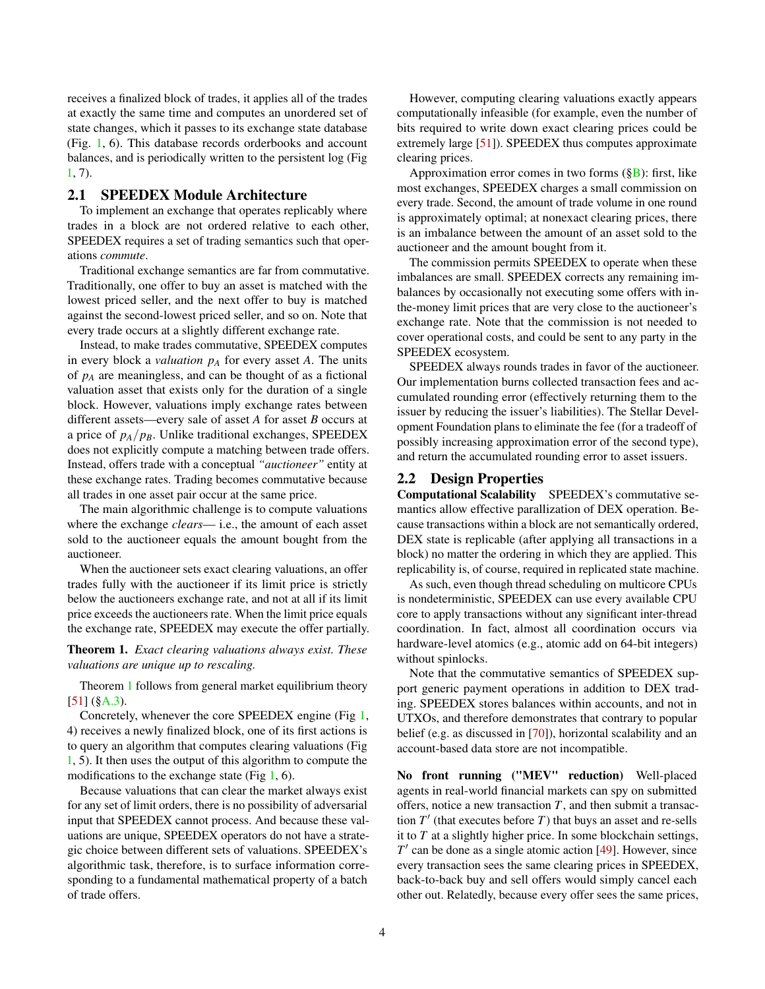receives a finalized block of trades, it applies all of the trades at exactly the same time and computes an unordered set of state changes, which it passes to its exchange state database (Fig. [1,](#page-2-0) 6). This database records orderbooks and account balances, and is periodically written to the persistent log (Fig [1,](#page-2-0) 7).

### 2.1 SPEEDEX Module Architecture

To implement an exchange that operates replicably where trades in a block are not ordered relative to each other, SPEEDEX requires a set of trading semantics such that operations *commute*.

Traditional exchange semantics are far from commutative. Traditionally, one offer to buy an asset is matched with the lowest priced seller, and the next offer to buy is matched against the second-lowest priced seller, and so on. Note that every trade occurs at a slightly different exchange rate.

Instead, to make trades commutative, SPEEDEX computes in every block a *valuation*  $p_A$  for every asset *A*. The units of *p<sup>A</sup>* are meaningless, and can be thought of as a fictional valuation asset that exists only for the duration of a single block. However, valuations imply exchange rates between different assets—every sale of asset *A* for asset *B* occurs at a price of *pA*/*pB*. Unlike traditional exchanges, SPEEDEX does not explicitly compute a matching between trade offers. Instead, offers trade with a conceptual *"auctioneer"* entity at these exchange rates. Trading becomes commutative because all trades in one asset pair occur at the same price.

The main algorithmic challenge is to compute valuations where the exchange *clears*— i.e., the amount of each asset sold to the auctioneer equals the amount bought from the auctioneer.

When the auctioneer sets exact clearing valuations, an offer trades fully with the auctioneer if its limit price is strictly below the auctioneers exchange rate, and not at all if its limit price exceeds the auctioneers rate. When the limit price equals the exchange rate, SPEEDEX may execute the offer partially.

<span id="page-3-0"></span>Theorem 1. *Exact clearing valuations always exist. These valuations are unique up to rescaling.*

Theorem [1](#page-3-0) follows from general market equilibrium theory  $[51]$  ([§A.3\)](#page-17-0).

Concretely, whenever the core SPEEDEX engine (Fig [1,](#page-2-0) 4) receives a newly finalized block, one of its first actions is to query an algorithm that computes clearing valuations (Fig [1,](#page-2-0) 5). It then uses the output of this algorithm to compute the modifications to the exchange state (Fig  $1, 6$  $1, 6$ ).

Because valuations that can clear the market always exist for any set of limit orders, there is no possibility of adversarial input that SPEEDEX cannot process. And because these valuations are unique, SPEEDEX operators do not have a strategic choice between different sets of valuations. SPEEDEX's algorithmic task, therefore, is to surface information corresponding to a fundamental mathematical property of a batch of trade offers.

However, computing clearing valuations exactly appears computationally infeasible (for example, even the number of bits required to write down exact clearing prices could be extremely large [\[51\]](#page-14-6)). SPEEDEX thus computes approximate clearing prices.

Approximation error comes in two forms  $(\S B)$ : first, like most exchanges, SPEEDEX charges a small commission on every trade. Second, the amount of trade volume in one round is approximately optimal; at nonexact clearing prices, there is an imbalance between the amount of an asset sold to the auctioneer and the amount bought from it.

The commission permits SPEEDEX to operate when these imbalances are small. SPEEDEX corrects any remaining imbalances by occasionally not executing some offers with inthe-money limit prices that are very close to the auctioneer's exchange rate. Note that the commission is not needed to cover operational costs, and could be sent to any party in the SPEEDEX ecosystem.

SPEEDEX always rounds trades in favor of the auctioneer. Our implementation burns collected transaction fees and accumulated rounding error (effectively returning them to the issuer by reducing the issuer's liabilities). The Stellar Development Foundation plans to eliminate the fee (for a tradeoff of possibly increasing approximation error of the second type), and return the accumulated rounding error to asset issuers.

# 2.2 Design Properties

Computational Scalability SPEEDEX's commutative semantics allow effective parallization of DEX operation. Because transactions within a block are not semantically ordered, DEX state is replicable (after applying all transactions in a block) no matter the ordering in which they are applied. This replicability is, of course, required in replicated state machine.

As such, even though thread scheduling on multicore CPUs is nondeterministic, SPEEDEX can use every available CPU core to apply transactions without any significant inter-thread coordination. In fact, almost all coordination occurs via hardware-level atomics (e.g., atomic add on 64-bit integers) without spinlocks.

Note that the commutative semantics of SPEEDEX support generic payment operations in addition to DEX trading. SPEEDEX stores balances within accounts, and not in UTXOs, and therefore demonstrates that contrary to popular belief (e.g. as discussed in [\[70\]](#page-15-8)), horizontal scalability and an account-based data store are not incompatible.

No front running ("MEV" reduction) Well-placed agents in real-world financial markets can spy on submitted offers, notice a new transaction *T*, and then submit a transaction  $T'$  (that executes before  $T$ ) that buys an asset and re-sells it to *T* at a slightly higher price. In some blockchain settings,  $T'$  can be done as a single atomic action  $[49]$ . However, since every transaction sees the same clearing prices in SPEEDEX, back-to-back buy and sell offers would simply cancel each other out. Relatedly, because every offer sees the same prices,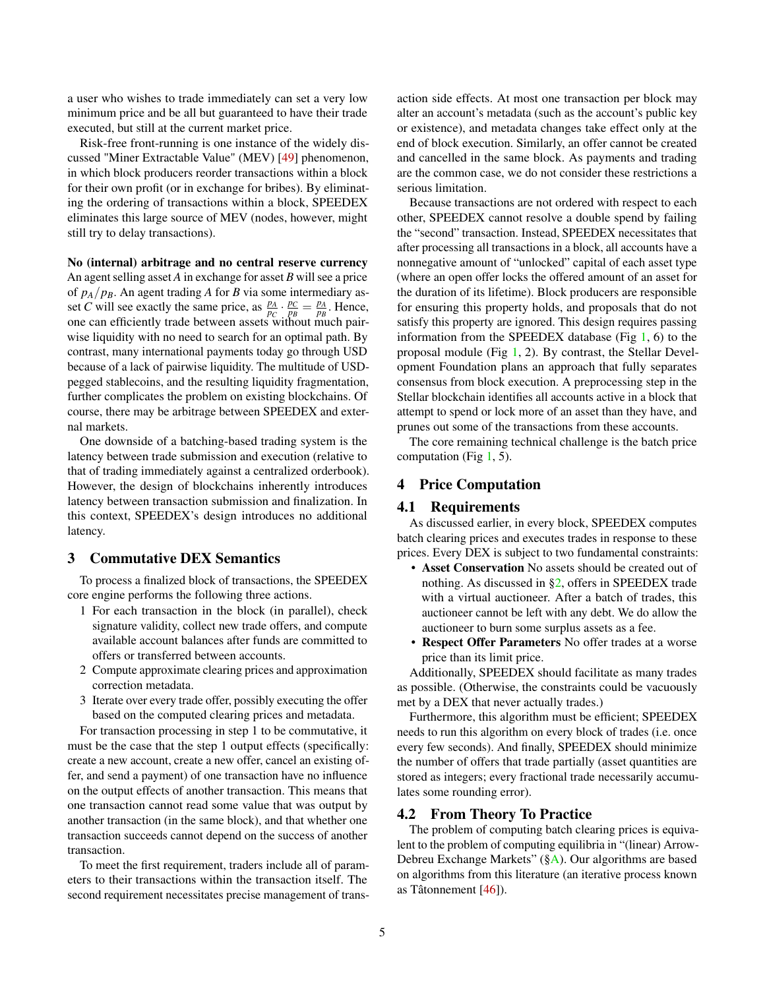a user who wishes to trade immediately can set a very low minimum price and be all but guaranteed to have their trade executed, but still at the current market price.

Risk-free front-running is one instance of the widely discussed "Miner Extractable Value" (MEV) [\[49\]](#page-14-0) phenomenon, in which block producers reorder transactions within a block for their own profit (or in exchange for bribes). By eliminating the ordering of transactions within a block, SPEEDEX eliminates this large source of MEV (nodes, however, might still try to delay transactions).

No (internal) arbitrage and no central reserve currency An agent selling asset *A* in exchange for asset *B* will see a price of  $p_A/p_B$ . An agent trading *A* for *B* via some intermediary asset *C* will see exactly the same price, as  $\frac{p_A}{p_C} \cdot \frac{p_C}{p_B} = \frac{p_A}{p_B}$ . Hence, one can efficiently trade between assets without much pairwise liquidity with no need to search for an optimal path. By contrast, many international payments today go through USD because of a lack of pairwise liquidity. The multitude of USDpegged stablecoins, and the resulting liquidity fragmentation, further complicates the problem on existing blockchains. Of course, there may be arbitrage between SPEEDEX and external markets.

One downside of a batching-based trading system is the latency between trade submission and execution (relative to that of trading immediately against a centralized orderbook). However, the design of blockchains inherently introduces latency between transaction submission and finalization. In this context, SPEEDEX's design introduces no additional latency.

# 3 Commutative DEX Semantics

To process a finalized block of transactions, the SPEEDEX core engine performs the following three actions.

- 1 For each transaction in the block (in parallel), check signature validity, collect new trade offers, and compute available account balances after funds are committed to offers or transferred between accounts.
- 2 Compute approximate clearing prices and approximation correction metadata.
- 3 Iterate over every trade offer, possibly executing the offer based on the computed clearing prices and metadata.

For transaction processing in step 1 to be commutative, it must be the case that the step 1 output effects (specifically: create a new account, create a new offer, cancel an existing offer, and send a payment) of one transaction have no influence on the output effects of another transaction. This means that one transaction cannot read some value that was output by another transaction (in the same block), and that whether one transaction succeeds cannot depend on the success of another transaction.

To meet the first requirement, traders include all of parameters to their transactions within the transaction itself. The second requirement necessitates precise management of trans-

action side effects. At most one transaction per block may alter an account's metadata (such as the account's public key or existence), and metadata changes take effect only at the end of block execution. Similarly, an offer cannot be created and cancelled in the same block. As payments and trading are the common case, we do not consider these restrictions a serious limitation.

Because transactions are not ordered with respect to each other, SPEEDEX cannot resolve a double spend by failing the "second" transaction. Instead, SPEEDEX necessitates that after processing all transactions in a block, all accounts have a nonnegative amount of "unlocked" capital of each asset type (where an open offer locks the offered amount of an asset for the duration of its lifetime). Block producers are responsible for ensuring this property holds, and proposals that do not satisfy this property are ignored. This design requires passing information from the SPEEDEX database (Fig [1,](#page-2-0) 6) to the proposal module (Fig [1,](#page-2-0) 2). By contrast, the Stellar Development Foundation plans an approach that fully separates consensus from block execution. A preprocessing step in the Stellar blockchain identifies all accounts active in a block that attempt to spend or lock more of an asset than they have, and prunes out some of the transactions from these accounts.

The core remaining technical challenge is the batch price computation (Fig  $1, 5$  $1, 5$ ).

# 4 Price Computation

## 4.1 Requirements

As discussed earlier, in every block, SPEEDEX computes batch clearing prices and executes trades in response to these prices. Every DEX is subject to two fundamental constraints:

- Asset Conservation No assets should be created out of nothing. As discussed in [§2,](#page-2-1) offers in SPEEDEX trade with a virtual auctioneer. After a batch of trades, this auctioneer cannot be left with any debt. We do allow the auctioneer to burn some surplus assets as a fee.
- Respect Offer Parameters No offer trades at a worse price than its limit price.

Additionally, SPEEDEX should facilitate as many trades as possible. (Otherwise, the constraints could be vacuously met by a DEX that never actually trades.)

Furthermore, this algorithm must be efficient; SPEEDEX needs to run this algorithm on every block of trades (i.e. once every few seconds). And finally, SPEEDEX should minimize the number of offers that trade partially (asset quantities are stored as integers; every fractional trade necessarily accumulates some rounding error).

#### 4.2 From Theory To Practice

The problem of computing batch clearing prices is equivalent to the problem of computing equilibria in "(linear) Arrow-Debreu Exchange Markets" ([§A\)](#page-16-2). Our algorithms are based on algorithms from this literature (an iterative process known as Tâtonnement [\[46\]](#page-14-4)).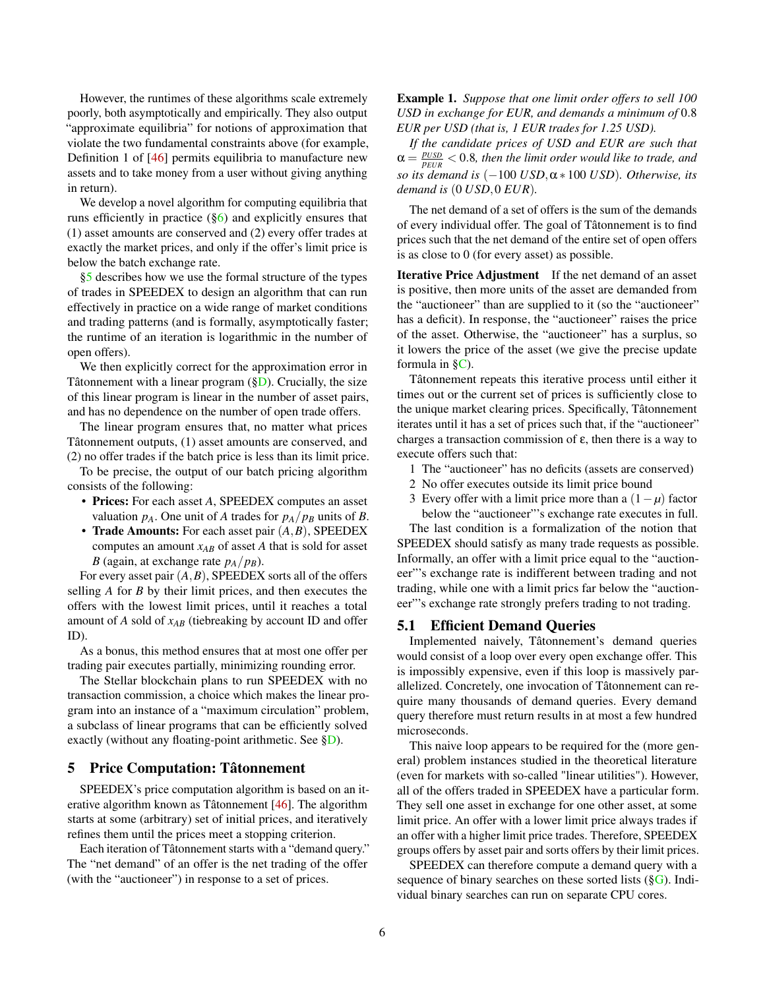However, the runtimes of these algorithms scale extremely poorly, both asymptotically and empirically. They also output "approximate equilibria" for notions of approximation that violate the two fundamental constraints above (for example, Definition 1 of [\[46\]](#page-14-4) permits equilibria to manufacture new assets and to take money from a user without giving anything in return).

We develop a novel algorithm for computing equilibria that runs efficiently in practice  $(\S6)$  and explicitly ensures that (1) asset amounts are conserved and (2) every offer trades at exactly the market prices, and only if the offer's limit price is below the batch exchange rate.

[§5](#page-5-0) describes how we use the formal structure of the types of trades in SPEEDEX to design an algorithm that can run effectively in practice on a wide range of market conditions and trading patterns (and is formally, asymptotically faster; the runtime of an iteration is logarithmic in the number of open offers).

We then explicitly correct for the approximation error in Tâtonnement with a linear program  $(\S_{\mathbb{D}})$ . Crucially, the size of this linear program is linear in the number of asset pairs, and has no dependence on the number of open trade offers.

The linear program ensures that, no matter what prices Tâtonnement outputs, (1) asset amounts are conserved, and (2) no offer trades if the batch price is less than its limit price.

To be precise, the output of our batch pricing algorithm consists of the following:

- Prices: For each asset *A*, SPEEDEX computes an asset valuation  $p_A$ . One unit of *A* trades for  $p_A/p_B$  units of *B*.
- Trade Amounts: For each asset pair (*A*,*B*), SPEEDEX computes an amount  $x_{AB}$  of asset *A* that is sold for asset *B* (again, at exchange rate  $p_A/p_B$ ).

For every asset pair (*A*,*B*), SPEEDEX sorts all of the offers selling *A* for *B* by their limit prices, and then executes the offers with the lowest limit prices, until it reaches a total amount of *A* sold of *xAB* (tiebreaking by account ID and offer ID).

As a bonus, this method ensures that at most one offer per trading pair executes partially, minimizing rounding error.

The Stellar blockchain plans to run SPEEDEX with no transaction commission, a choice which makes the linear program into an instance of a "maximum circulation" problem, a subclass of linear programs that can be efficiently solved exactly (without any floating-point arithmetic. See [§D\)](#page-19-0).

# <span id="page-5-0"></span>5 Price Computation: Tâtonnement

SPEEDEX's price computation algorithm is based on an iterative algorithm known as Tâtonnement [\[46\]](#page-14-4). The algorithm starts at some (arbitrary) set of initial prices, and iteratively refines them until the prices meet a stopping criterion.

Each iteration of Tâtonnement starts with a "demand query." The "net demand" of an offer is the net trading of the offer (with the "auctioneer") in response to a set of prices.

Example 1. *Suppose that one limit order offers to sell 100 USD in exchange for EUR, and demands a minimum of* 0.8 *EUR per USD (that is, 1 EUR trades for 1.25 USD).*

*If the candidate prices of USD and EUR are such that*  $\alpha = \frac{p_{USD}}{p_{EUR}} < 0.8$ , then the limit order would like to trade, and *so its demand is* (−100 *USD*,α∗ 100 *USD*)*. Otherwise, its demand is* (0 *USD*,0 *EUR*)*.*

The net demand of a set of offers is the sum of the demands of every individual offer. The goal of Tâtonnement is to find prices such that the net demand of the entire set of open offers is as close to 0 (for every asset) as possible.

Iterative Price Adjustment If the net demand of an asset is positive, then more units of the asset are demanded from the "auctioneer" than are supplied to it (so the "auctioneer" has a deficit). In response, the "auctioneer" raises the price of the asset. Otherwise, the "auctioneer" has a surplus, so it lowers the price of the asset (we give the precise update formula in  $\S$ C).

Tâtonnement repeats this iterative process until either it times out or the current set of prices is sufficiently close to the unique market clearing prices. Specifically, Tâtonnement iterates until it has a set of prices such that, if the "auctioneer" charges a transaction commission of  $\varepsilon$ , then there is a way to execute offers such that:

- 1 The "auctioneer" has no deficits (assets are conserved)
- 2 No offer executes outside its limit price bound
- 3 Every offer with a limit price more than a (1−*µ*) factor below the "auctioneer"'s exchange rate executes in full.

The last condition is a formalization of the notion that SPEEDEX should satisfy as many trade requests as possible. Informally, an offer with a limit price equal to the "auctioneer"'s exchange rate is indifferent between trading and not trading, while one with a limit prics far below the "auctioneer"'s exchange rate strongly prefers trading to not trading.

#### <span id="page-5-1"></span>5.1 Efficient Demand Queries

Implemented naively, Tâtonnement's demand queries would consist of a loop over every open exchange offer. This is impossibly expensive, even if this loop is massively parallelized. Concretely, one invocation of Tâtonnement can require many thousands of demand queries. Every demand query therefore must return results in at most a few hundred microseconds.

This naive loop appears to be required for the (more general) problem instances studied in the theoretical literature (even for markets with so-called "linear utilities"). However, all of the offers traded in SPEEDEX have a particular form. They sell one asset in exchange for one other asset, at some limit price. An offer with a lower limit price always trades if an offer with a higher limit price trades. Therefore, SPEEDEX groups offers by asset pair and sorts offers by their limit prices.

SPEEDEX can therefore compute a demand query with a sequence of binary searches on these sorted lists ([§G\)](#page-21-0). Individual binary searches can run on separate CPU cores.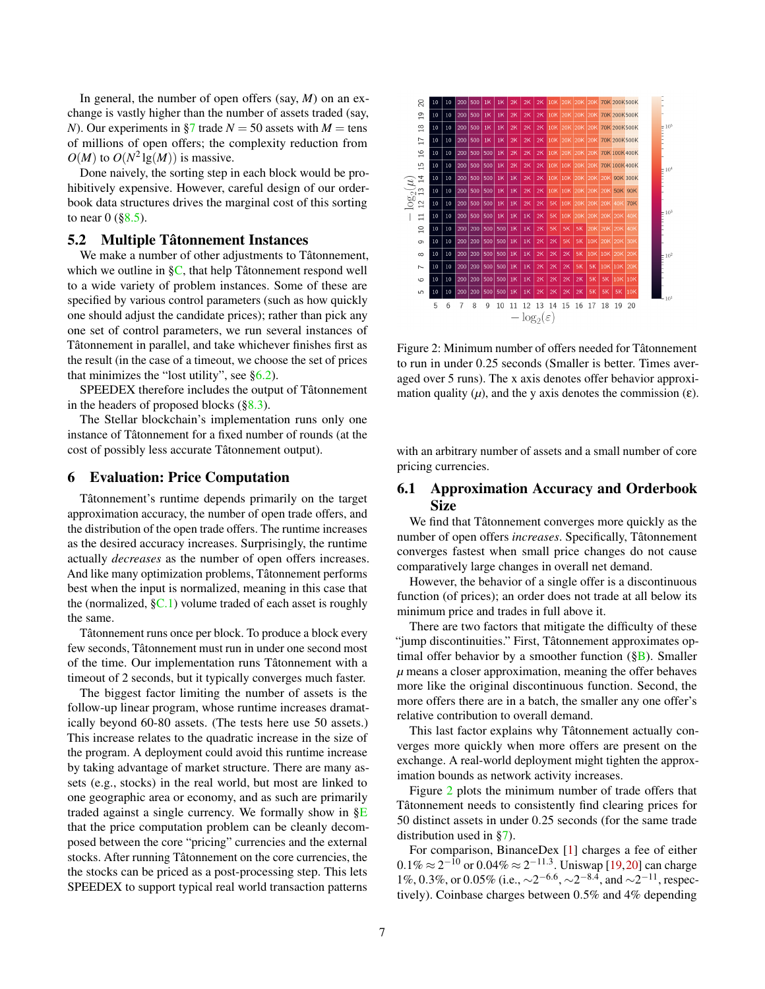In general, the number of open offers (say, *M*) on an exchange is vastly higher than the number of assets traded (say, *N*). Our experiments in [§7](#page-7-0) trade  $N = 50$  assets with  $M = \text{tens}$ of millions of open offers; the complexity reduction from  $O(M)$  to  $O(N^2 \lg(M))$  is massive.

Done naively, the sorting step in each block would be prohibitively expensive. However, careful design of our orderbook data structures drives the marginal cost of this sorting to near  $0$  ([§8.5\)](#page-10-0).

# <span id="page-6-2"></span>5.2 Multiple Tâtonnement Instances

We make a number of other adjustments to Tâtonnement, which we outline in [§C,](#page-18-1) that help Tâtonnement respond well to a wide variety of problem instances. Some of these are specified by various control parameters (such as how quickly one should adjust the candidate prices); rather than pick any one set of control parameters, we run several instances of Tâtonnement in parallel, and take whichever finishes first as the result (in the case of a timeout, we choose the set of prices that minimizes the "lost utility", see  $\S6.2$ ).

SPEEDEX therefore includes the output of Tâtonnement in the headers of proposed blocks  $(\S8.3)$ .

The Stellar blockchain's implementation runs only one instance of Tâtonnement for a fixed number of rounds (at the cost of possibly less accurate Tâtonnement output).

#### <span id="page-6-0"></span>6 Evaluation: Price Computation

Tâtonnement's runtime depends primarily on the target approximation accuracy, the number of open trade offers, and the distribution of the open trade offers. The runtime increases as the desired accuracy increases. Surprisingly, the runtime actually *decreases* as the number of open offers increases. And like many optimization problems, Tâtonnement performs best when the input is normalized, meaning in this case that the (normalized,  $\S$ C.1) volume traded of each asset is roughly the same.

Tâtonnement runs once per block. To produce a block every few seconds, Tâtonnement must run in under one second most of the time. Our implementation runs Tâtonnement with a timeout of 2 seconds, but it typically converges much faster.

The biggest factor limiting the number of assets is the follow-up linear program, whose runtime increases dramatically beyond 60-80 assets. (The tests here use 50 assets.) This increase relates to the quadratic increase in the size of the program. A deployment could avoid this runtime increase by taking advantage of market structure. There are many assets (e.g., stocks) in the real world, but most are linked to one geographic area or economy, and as such are primarily traded against a single currency. We formally show in  $\S$ E that the price computation problem can be cleanly decomposed between the core "pricing" currencies and the external stocks. After running Tâtonnement on the core currencies, the the stocks can be priced as a post-processing step. This lets SPEEDEX to support typical real world transaction patterns

<span id="page-6-1"></span>

Figure 2: Minimum number of offers needed for Tâtonnement to run in under 0.25 seconds (Smaller is better. Times averaged over 5 runs). The x axis denotes offer behavior approximation quality  $(\mu)$ , and the y axis denotes the commission  $(\varepsilon)$ .

with an arbitrary number of assets and a small number of core pricing currencies.

# 6.1 Approximation Accuracy and Orderbook Size

We find that Tâtonnement converges more quickly as the number of open offers *increases*. Specifically, Tâtonnement converges fastest when small price changes do not cause comparatively large changes in overall net demand.

However, the behavior of a single offer is a discontinuous function (of prices); an order does not trade at all below its minimum price and trades in full above it.

There are two factors that mitigate the difficulty of these "jump discontinuities." First, Tâtonnement approximates optimal offer behavior by a smoother function  $(\S B)$ . Smaller *µ* means a closer approximation, meaning the offer behaves more like the original discontinuous function. Second, the more offers there are in a batch, the smaller any one offer's relative contribution to overall demand.

This last factor explains why Tâtonnement actually converges more quickly when more offers are present on the exchange. A real-world deployment might tighten the approximation bounds as network activity increases.

Figure [2](#page-6-1) plots the minimum number of trade offers that Tâtonnement needs to consistently find clearing prices for 50 distinct assets in under 0.25 seconds (for the same trade distribution used in [§7\)](#page-7-0).

For comparison, BinanceDex [\[1\]](#page-12-5) charges a fee of either  $0.1\% \approx 2^{-10}$  or  $0.04\% \approx 2^{-11.3}$ . Uniswap [\[19,](#page-13-3)[20\]](#page-13-4) can charge 1%, 0.3%, or 0.05% (i.e.,  $\sim$ 2<sup>-6.6</sup>,  $\sim$ 2<sup>-8.4</sup>, and  $\sim$ 2<sup>-11</sup>, respectively). Coinbase charges between 0.5% and 4% depending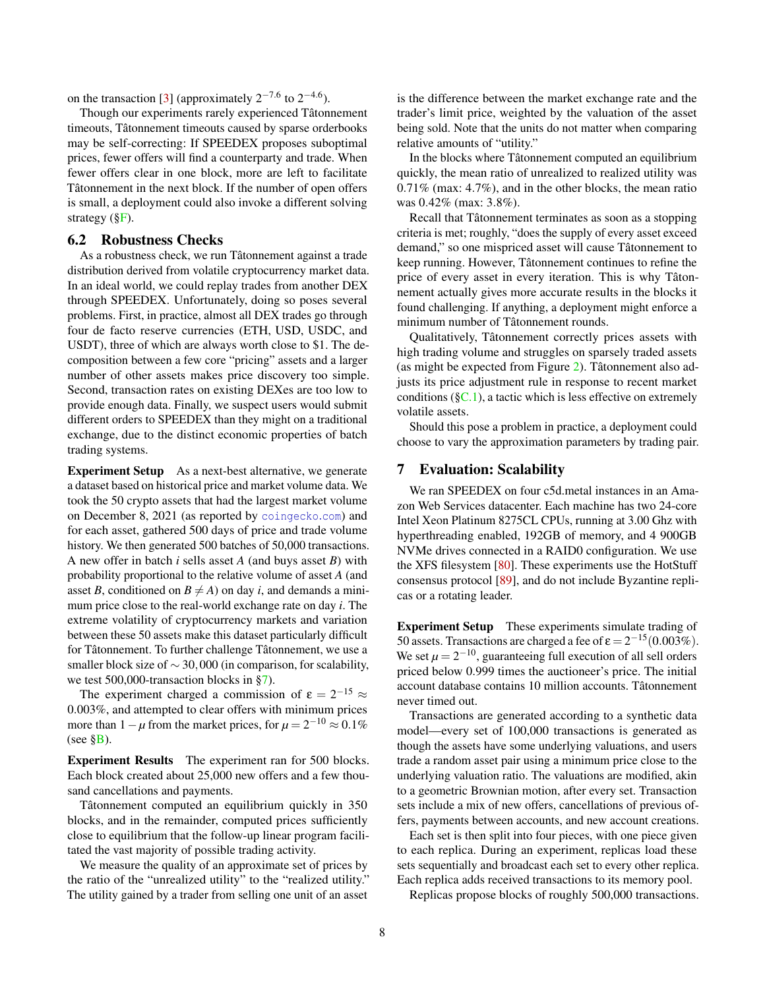on the transaction [\[3\]](#page-12-6) (approximately  $2^{-7.6}$  to  $2^{-4.6}$ ).

Though our experiments rarely experienced Tâtonnement timeouts, Tâtonnement timeouts caused by sparse orderbooks may be self-correcting: If SPEEDEX proposes suboptimal prices, fewer offers will find a counterparty and trade. When fewer offers clear in one block, more are left to facilitate Tâtonnement in the next block. If the number of open offers is small, a deployment could also invoke a different solving strategy ([§F\)](#page-21-1).

# <span id="page-7-1"></span>6.2 Robustness Checks

As a robustness check, we run Tâtonnement against a trade distribution derived from volatile cryptocurrency market data. In an ideal world, we could replay trades from another DEX through SPEEDEX. Unfortunately, doing so poses several problems. First, in practice, almost all DEX trades go through four de facto reserve currencies (ETH, USD, USDC, and USDT), three of which are always worth close to \$1. The decomposition between a few core "pricing" assets and a larger number of other assets makes price discovery too simple. Second, transaction rates on existing DEXes are too low to provide enough data. Finally, we suspect users would submit different orders to SPEEDEX than they might on a traditional exchange, due to the distinct economic properties of batch trading systems.

Experiment Setup As a next-best alternative, we generate a dataset based on historical price and market volume data. We took the 50 crypto assets that had the largest market volume on December 8, 2021 (as reported by [coingecko](coingecko.com).com) and for each asset, gathered 500 days of price and trade volume history. We then generated 500 batches of 50,000 transactions. A new offer in batch *i* sells asset *A* (and buys asset *B*) with probability proportional to the relative volume of asset *A* (and asset *B*, conditioned on  $B \neq A$ ) on day *i*, and demands a minimum price close to the real-world exchange rate on day *i*. The extreme volatility of cryptocurrency markets and variation between these 50 assets make this dataset particularly difficult for Tâtonnement. To further challenge Tâtonnement, we use a smaller block size of  $\sim$  30,000 (in comparison, for scalability, we test 500,000-transaction blocks in [§7\)](#page-7-0).

The experiment charged a commission of  $\varepsilon = 2^{-15} \approx$ 0.003%, and attempted to clear offers with minimum prices more than  $1 - \mu$  from the market prices, for  $\mu = 2^{-10} \approx 0.1\%$ (see  $\S$ B).

Experiment Results The experiment ran for 500 blocks. Each block created about 25,000 new offers and a few thousand cancellations and payments.

Tâtonnement computed an equilibrium quickly in 350 blocks, and in the remainder, computed prices sufficiently close to equilibrium that the follow-up linear program facilitated the vast majority of possible trading activity.

We measure the quality of an approximate set of prices by the ratio of the "unrealized utility" to the "realized utility." The utility gained by a trader from selling one unit of an asset

is the difference between the market exchange rate and the trader's limit price, weighted by the valuation of the asset being sold. Note that the units do not matter when comparing relative amounts of "utility."

In the blocks where Tâtonnement computed an equilibrium quickly, the mean ratio of unrealized to realized utility was 0.71% (max: 4.7%), and in the other blocks, the mean ratio was 0.42% (max: 3.8%).

Recall that Tâtonnement terminates as soon as a stopping criteria is met; roughly, "does the supply of every asset exceed demand," so one mispriced asset will cause Tâtonnement to keep running. However, Tâtonnement continues to refine the price of every asset in every iteration. This is why Tâtonnement actually gives more accurate results in the blocks it found challenging. If anything, a deployment might enforce a minimum number of Tâtonnement rounds.

Qualitatively, Tâtonnement correctly prices assets with high trading volume and struggles on sparsely traded assets (as might be expected from Figure [2\)](#page-6-1). Tâtonnement also adjusts its price adjustment rule in response to recent market conditions ( $\S$ C.1), a tactic which is less effective on extremely volatile assets.

Should this pose a problem in practice, a deployment could choose to vary the approximation parameters by trading pair.

# <span id="page-7-0"></span>7 Evaluation: Scalability

We ran SPEEDEX on four c5d.metal instances in an Amazon Web Services datacenter. Each machine has two 24-core Intel Xeon Platinum 8275CL CPUs, running at 3.00 Ghz with hyperthreading enabled, 192GB of memory, and 4 900GB NVMe drives connected in a RAID0 configuration. We use the XFS filesystem [\[80\]](#page-15-9). These experiments use the HotStuff consensus protocol [\[89\]](#page-16-0), and do not include Byzantine replicas or a rotating leader.

Experiment Setup These experiments simulate trading of 50 assets. Transactions are charged a fee of  $\epsilon = 2^{-15}(0.003\%)$ . We set  $\mu = 2^{-10}$ , guaranteeing full execution of all sell orders priced below 0.999 times the auctioneer's price. The initial account database contains 10 million accounts. Tâtonnement never timed out.

Transactions are generated according to a synthetic data model—every set of 100,000 transactions is generated as though the assets have some underlying valuations, and users trade a random asset pair using a minimum price close to the underlying valuation ratio. The valuations are modified, akin to a geometric Brownian motion, after every set. Transaction sets include a mix of new offers, cancellations of previous offers, payments between accounts, and new account creations.

Each set is then split into four pieces, with one piece given to each replica. During an experiment, replicas load these sets sequentially and broadcast each set to every other replica. Each replica adds received transactions to its memory pool.

Replicas propose blocks of roughly 500,000 transactions.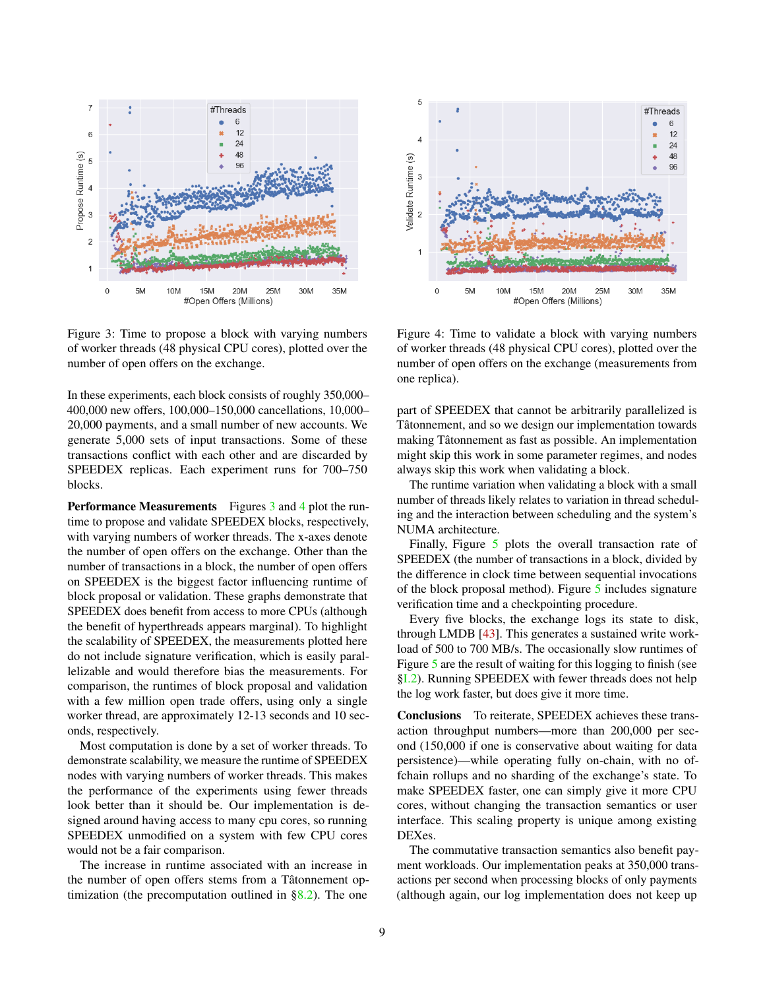<span id="page-8-0"></span>

Figure 3: Time to propose a block with varying numbers of worker threads (48 physical CPU cores), plotted over the number of open offers on the exchange.

In these experiments, each block consists of roughly 350,000– 400,000 new offers, 100,000–150,000 cancellations, 10,000– 20,000 payments, and a small number of new accounts. We generate 5,000 sets of input transactions. Some of these transactions conflict with each other and are discarded by SPEEDEX replicas. Each experiment runs for 700–750 blocks.

**Performance Measurements** Figures [3](#page-8-0) and [4](#page-8-1) plot the runtime to propose and validate SPEEDEX blocks, respectively, with varying numbers of worker threads. The x-axes denote the number of open offers on the exchange. Other than the number of transactions in a block, the number of open offers on SPEEDEX is the biggest factor influencing runtime of block proposal or validation. These graphs demonstrate that SPEEDEX does benefit from access to more CPUs (although the benefit of hyperthreads appears marginal). To highlight the scalability of SPEEDEX, the measurements plotted here do not include signature verification, which is easily parallelizable and would therefore bias the measurements. For comparison, the runtimes of block proposal and validation with a few million open trade offers, using only a single worker thread, are approximately 12-13 seconds and 10 seconds, respectively.

Most computation is done by a set of worker threads. To demonstrate scalability, we measure the runtime of SPEEDEX nodes with varying numbers of worker threads. This makes the performance of the experiments using fewer threads look better than it should be. Our implementation is designed around having access to many cpu cores, so running SPEEDEX unmodified on a system with few CPU cores would not be a fair comparison.

The increase in runtime associated with an increase in the number of open offers stems from a Tâtonnement optimization (the precomputation outlined in  $\S 8.2$ ). The one

<span id="page-8-1"></span>

Figure 4: Time to validate a block with varying numbers of worker threads (48 physical CPU cores), plotted over the number of open offers on the exchange (measurements from one replica).

part of SPEEDEX that cannot be arbitrarily parallelized is Tâtonnement, and so we design our implementation towards making Tâtonnement as fast as possible. An implementation might skip this work in some parameter regimes, and nodes always skip this work when validating a block.

The runtime variation when validating a block with a small number of threads likely relates to variation in thread scheduling and the interaction between scheduling and the system's NUMA architecture.

Finally, Figure [5](#page-9-0) plots the overall transaction rate of SPEEDEX (the number of transactions in a block, divided by the difference in clock time between sequential invocations of the block proposal method). Figure [5](#page-9-0) includes signature verification time and a checkpointing procedure.

Every five blocks, the exchange logs its state to disk, through LMDB [\[43\]](#page-14-7). This generates a sustained write workload of 500 to 700 MB/s. The occasionally slow runtimes of Figure [5](#page-9-0) are the result of waiting for this logging to finish (see [§I.2\)](#page-22-0). Running SPEEDEX with fewer threads does not help the log work faster, but does give it more time.

Conclusions To reiterate, SPEEDEX achieves these transaction throughput numbers—more than 200,000 per second (150,000 if one is conservative about waiting for data persistence)—while operating fully on-chain, with no offchain rollups and no sharding of the exchange's state. To make SPEEDEX faster, one can simply give it more CPU cores, without changing the transaction semantics or user interface. This scaling property is unique among existing DEXes.

The commutative transaction semantics also benefit payment workloads. Our implementation peaks at 350,000 transactions per second when processing blocks of only payments (although again, our log implementation does not keep up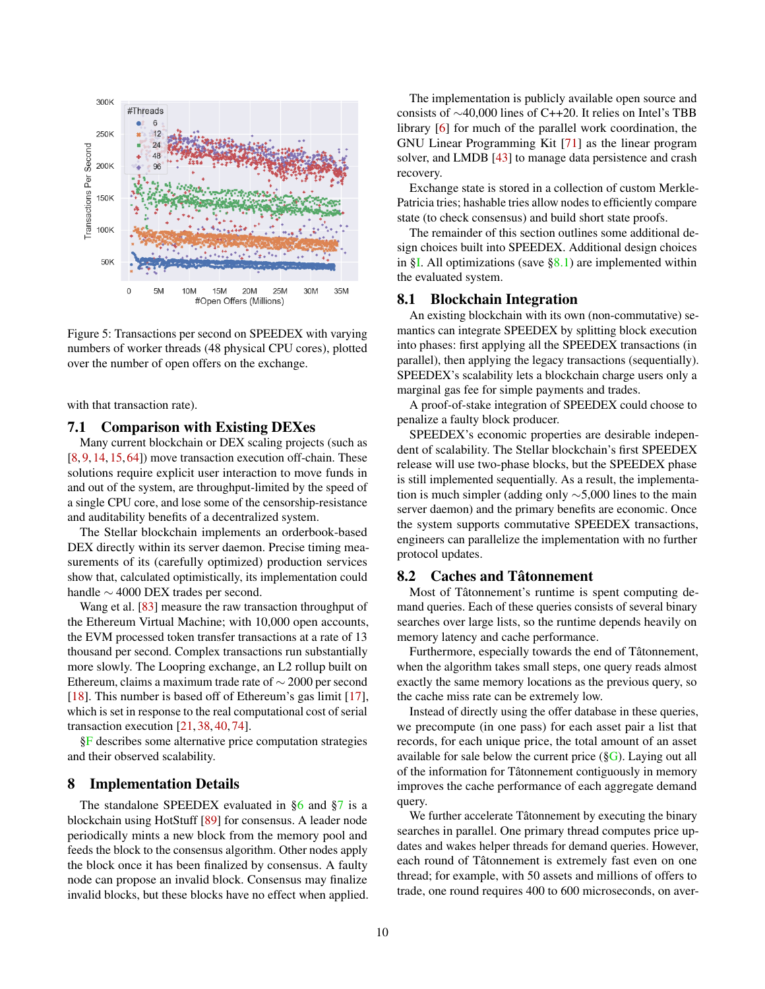<span id="page-9-0"></span>

Figure 5: Transactions per second on SPEEDEX with varying numbers of worker threads (48 physical CPU cores), plotted over the number of open offers on the exchange.

with that transaction rate).

### 7.1 Comparison with Existing DEXes

Many current blockchain or DEX scaling projects (such as [\[8,](#page-12-7) [9,](#page-12-8) [14,](#page-12-9) [15,](#page-12-3) [64\]](#page-15-10)) move transaction execution off-chain. These solutions require explicit user interaction to move funds in and out of the system, are throughput-limited by the speed of a single CPU core, and lose some of the censorship-resistance and auditability benefits of a decentralized system.

The Stellar blockchain implements an orderbook-based DEX directly within its server daemon. Precise timing measurements of its (carefully optimized) production services show that, calculated optimistically, its implementation could handle ∼ 4000 DEX trades per second.

Wang et al. [\[83\]](#page-15-11) measure the raw transaction throughput of the Ethereum Virtual Machine; with 10,000 open accounts, the EVM processed token transfer transactions at a rate of 13 thousand per second. Complex transactions run substantially more slowly. The Loopring exchange, an L2 rollup built on Ethereum, claims a maximum trade rate of ∼ 2000 per second [\[18\]](#page-13-5). This number is based off of Ethereum's gas limit [\[17\]](#page-13-6), which is set in response to the real computational cost of serial transaction execution [\[21,](#page-13-7) [38,](#page-13-8) [40,](#page-13-9) [74\]](#page-15-12).

[§F](#page-21-1) describes some alternative price computation strategies and their observed scalability.

#### 8 Implementation Details

The standalone SPEEDEX evaluated in [§6](#page-6-0) and [§7](#page-7-0) is a blockchain using HotStuff [\[89\]](#page-16-0) for consensus. A leader node periodically mints a new block from the memory pool and feeds the block to the consensus algorithm. Other nodes apply the block once it has been finalized by consensus. A faulty node can propose an invalid block. Consensus may finalize invalid blocks, but these blocks have no effect when applied.

The implementation is publicly available open source and consists of ∼40,000 lines of C++20. It relies on Intel's TBB library [\[6\]](#page-12-10) for much of the parallel work coordination, the GNU Linear Programming Kit [\[71\]](#page-15-13) as the linear program solver, and LMDB [\[43\]](#page-14-7) to manage data persistence and crash recovery.

Exchange state is stored in a collection of custom Merkle-Patricia tries; hashable tries allow nodes to efficiently compare state (to check consensus) and build short state proofs.

The remainder of this section outlines some additional design choices built into SPEEDEX. Additional design choices in  $\S$ I. All optimizations (save  $\S$ 8.1) are implemented within the evaluated system.

#### <span id="page-9-2"></span>8.1 Blockchain Integration

An existing blockchain with its own (non-commutative) semantics can integrate SPEEDEX by splitting block execution into phases: first applying all the SPEEDEX transactions (in parallel), then applying the legacy transactions (sequentially). SPEEDEX's scalability lets a blockchain charge users only a marginal gas fee for simple payments and trades.

A proof-of-stake integration of SPEEDEX could choose to penalize a faulty block producer.

SPEEDEX's economic properties are desirable independent of scalability. The Stellar blockchain's first SPEEDEX release will use two-phase blocks, but the SPEEDEX phase is still implemented sequentially. As a result, the implementation is much simpler (adding only ∼5,000 lines to the main server daemon) and the primary benefits are economic. Once the system supports commutative SPEEDEX transactions, engineers can parallelize the implementation with no further protocol updates.

# <span id="page-9-1"></span>8.2 Caches and Tâtonnement

Most of Tâtonnement's runtime is spent computing demand queries. Each of these queries consists of several binary searches over large lists, so the runtime depends heavily on memory latency and cache performance.

Furthermore, especially towards the end of Tâtonnement, when the algorithm takes small steps, one query reads almost exactly the same memory locations as the previous query, so the cache miss rate can be extremely low.

Instead of directly using the offer database in these queries, we precompute (in one pass) for each asset pair a list that records, for each unique price, the total amount of an asset available for sale below the current price  $(\S G)$ . Laying out all of the information for Tâtonnement contiguously in memory improves the cache performance of each aggregate demand query.

We further accelerate Tâtonnement by executing the binary searches in parallel. One primary thread computes price updates and wakes helper threads for demand queries. However, each round of Tâtonnement is extremely fast even on one thread; for example, with 50 assets and millions of offers to trade, one round requires 400 to 600 microseconds, on aver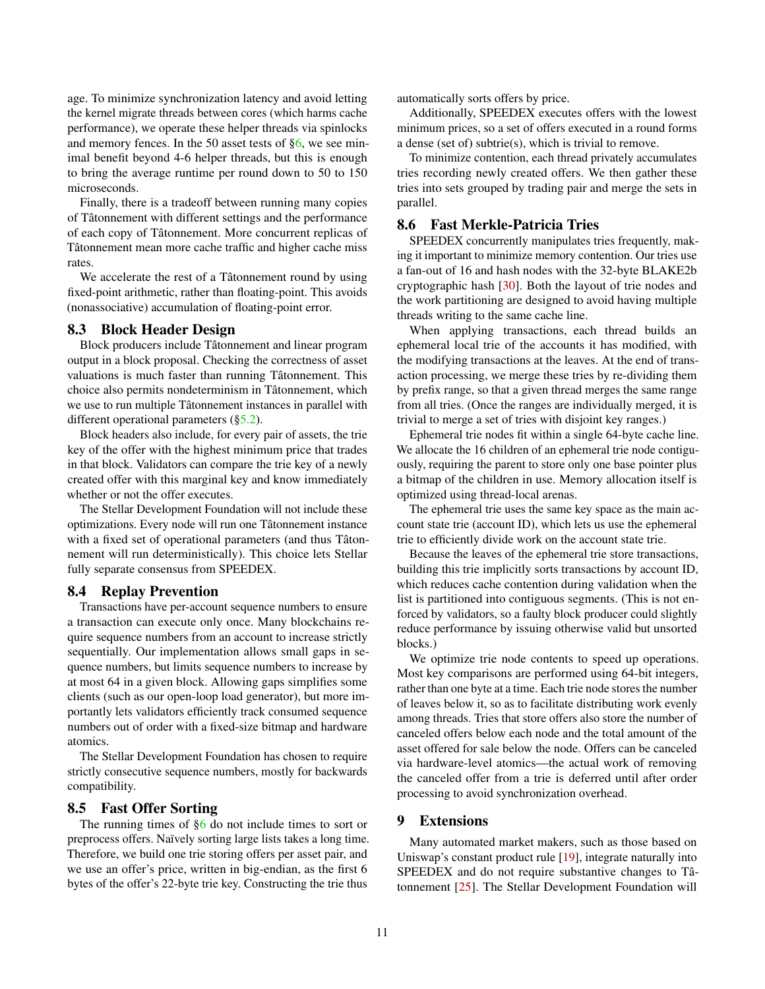age. To minimize synchronization latency and avoid letting the kernel migrate threads between cores (which harms cache performance), we operate these helper threads via spinlocks and memory fences. In the 50 asset tests of [§6,](#page-6-0) we see minimal benefit beyond 4-6 helper threads, but this is enough to bring the average runtime per round down to 50 to 150 microseconds.

Finally, there is a tradeoff between running many copies of Tâtonnement with different settings and the performance of each copy of Tâtonnement. More concurrent replicas of Tâtonnement mean more cache traffic and higher cache miss rates.

We accelerate the rest of a Tâtonnement round by using fixed-point arithmetic, rather than floating-point. This avoids (nonassociative) accumulation of floating-point error.

# <span id="page-10-1"></span>8.3 Block Header Design

Block producers include Tâtonnement and linear program output in a block proposal. Checking the correctness of asset valuations is much faster than running Tâtonnement. This choice also permits nondeterminism in Tâtonnement, which we use to run multiple Tâtonnement instances in parallel with different operational parameters ([§5.2\)](#page-6-2).

Block headers also include, for every pair of assets, the trie key of the offer with the highest minimum price that trades in that block. Validators can compare the trie key of a newly created offer with this marginal key and know immediately whether or not the offer executes.

The Stellar Development Foundation will not include these optimizations. Every node will run one Tâtonnement instance with a fixed set of operational parameters (and thus Tâtonnement will run deterministically). This choice lets Stellar fully separate consensus from SPEEDEX.

# 8.4 Replay Prevention

Transactions have per-account sequence numbers to ensure a transaction can execute only once. Many blockchains require sequence numbers from an account to increase strictly sequentially. Our implementation allows small gaps in sequence numbers, but limits sequence numbers to increase by at most 64 in a given block. Allowing gaps simplifies some clients (such as our open-loop load generator), but more importantly lets validators efficiently track consumed sequence numbers out of order with a fixed-size bitmap and hardware atomics.

The Stellar Development Foundation has chosen to require strictly consecutive sequence numbers, mostly for backwards compatibility.

#### <span id="page-10-0"></span>8.5 Fast Offer Sorting

The running times of  $\S6$  do not include times to sort or preprocess offers. Naïvely sorting large lists takes a long time. Therefore, we build one trie storing offers per asset pair, and we use an offer's price, written in big-endian, as the first 6 bytes of the offer's 22-byte trie key. Constructing the trie thus

automatically sorts offers by price.

Additionally, SPEEDEX executes offers with the lowest minimum prices, so a set of offers executed in a round forms a dense (set of) subtrie(s), which is trivial to remove.

To minimize contention, each thread privately accumulates tries recording newly created offers. We then gather these tries into sets grouped by trading pair and merge the sets in parallel.

### 8.6 Fast Merkle-Patricia Tries

SPEEDEX concurrently manipulates tries frequently, making it important to minimize memory contention. Our tries use a fan-out of 16 and hash nodes with the 32-byte BLAKE2b cryptographic hash [\[30\]](#page-13-10). Both the layout of trie nodes and the work partitioning are designed to avoid having multiple threads writing to the same cache line.

When applying transactions, each thread builds an ephemeral local trie of the accounts it has modified, with the modifying transactions at the leaves. At the end of transaction processing, we merge these tries by re-dividing them by prefix range, so that a given thread merges the same range from all tries. (Once the ranges are individually merged, it is trivial to merge a set of tries with disjoint key ranges.)

Ephemeral trie nodes fit within a single 64-byte cache line. We allocate the 16 children of an ephemeral trie node contiguously, requiring the parent to store only one base pointer plus a bitmap of the children in use. Memory allocation itself is optimized using thread-local arenas.

The ephemeral trie uses the same key space as the main account state trie (account ID), which lets us use the ephemeral trie to efficiently divide work on the account state trie.

Because the leaves of the ephemeral trie store transactions, building this trie implicitly sorts transactions by account ID, which reduces cache contention during validation when the list is partitioned into contiguous segments. (This is not enforced by validators, so a faulty block producer could slightly reduce performance by issuing otherwise valid but unsorted blocks.)

We optimize trie node contents to speed up operations. Most key comparisons are performed using 64-bit integers, rather than one byte at a time. Each trie node stores the number of leaves below it, so as to facilitate distributing work evenly among threads. Tries that store offers also store the number of canceled offers below each node and the total amount of the asset offered for sale below the node. Offers can be canceled via hardware-level atomics—the actual work of removing the canceled offer from a trie is deferred until after order processing to avoid synchronization overhead.

### 9 Extensions

Many automated market makers, such as those based on Uniswap's constant product rule [\[19\]](#page-13-3), integrate naturally into SPEEDEX and do not require substantive changes to Tâtonnement [\[25\]](#page-13-11). The Stellar Development Foundation will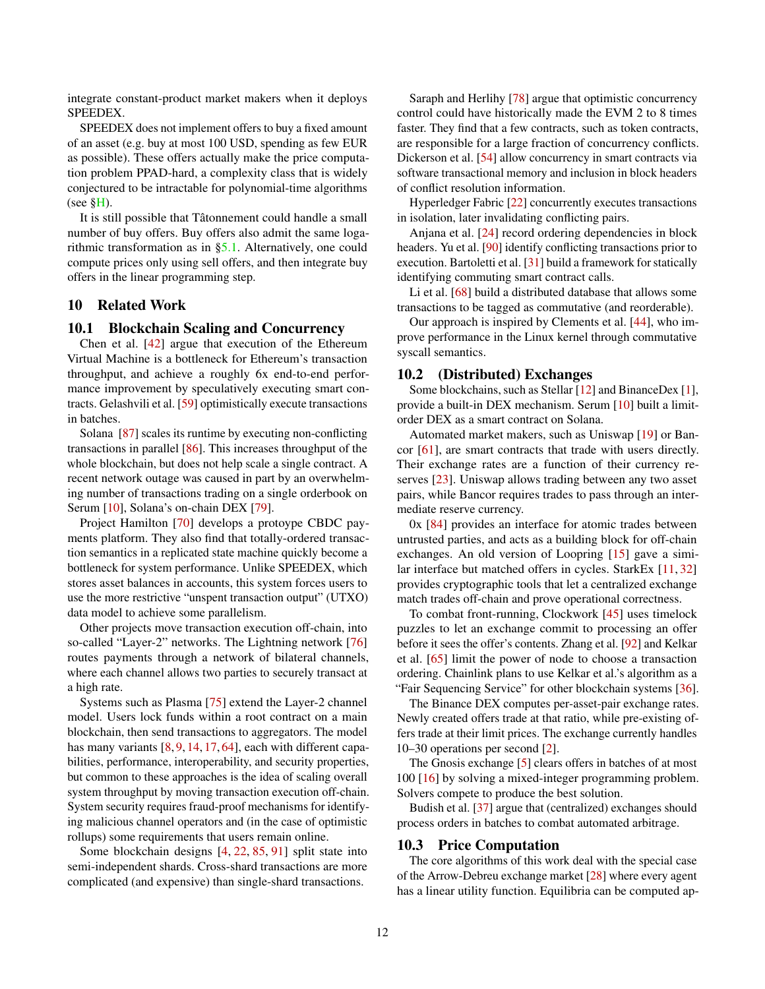integrate constant-product market makers when it deploys SPEEDEX.

SPEEDEX does not implement offers to buy a fixed amount of an asset (e.g. buy at most 100 USD, spending as few EUR as possible). These offers actually make the price computation problem PPAD-hard, a complexity class that is widely conjectured to be intractable for polynomial-time algorithms (see  $\S$ H).

It is still possible that Tâtonnement could handle a small number of buy offers. Buy offers also admit the same logarithmic transformation as in [§5.1.](#page-5-1) Alternatively, one could compute prices only using sell offers, and then integrate buy offers in the linear programming step.

### 10 Related Work

#### 10.1 Blockchain Scaling and Concurrency

Chen et al. [\[42\]](#page-14-8) argue that execution of the Ethereum Virtual Machine is a bottleneck for Ethereum's transaction throughput, and achieve a roughly 6x end-to-end performance improvement by speculatively executing smart contracts. Gelashvili et al. [\[59\]](#page-14-9) optimistically execute transactions in batches.

Solana [\[87\]](#page-16-3) scales its runtime by executing non-conflicting transactions in parallel [\[86\]](#page-16-4). This increases throughput of the whole blockchain, but does not help scale a single contract. A recent network outage was caused in part by an overwhelming number of transactions trading on a single orderbook on Serum [\[10\]](#page-12-11), Solana's on-chain DEX [\[79\]](#page-15-14).

Project Hamilton [\[70\]](#page-15-8) develops a protoype CBDC payments platform. They also find that totally-ordered transaction semantics in a replicated state machine quickly become a bottleneck for system performance. Unlike SPEEDEX, which stores asset balances in accounts, this system forces users to use the more restrictive "unspent transaction output" (UTXO) data model to achieve some parallelism.

Other projects move transaction execution off-chain, into so-called "Layer-2" networks. The Lightning network [\[76\]](#page-15-15) routes payments through a network of bilateral channels, where each channel allows two parties to securely transact at a high rate.

Systems such as Plasma [\[75\]](#page-15-6) extend the Layer-2 channel model. Users lock funds within a root contract on a main blockchain, then send transactions to aggregators. The model has many variants [\[8,](#page-12-7) [9,](#page-12-8) [14,](#page-12-9) [17,](#page-13-6) [64\]](#page-15-10), each with different capabilities, performance, interoperability, and security properties, but common to these approaches is the idea of scaling overall system throughput by moving transaction execution off-chain. System security requires fraud-proof mechanisms for identifying malicious channel operators and (in the case of optimistic rollups) some requirements that users remain online.

Some blockchain designs [\[4,](#page-12-4) [22,](#page-13-12) [85,](#page-15-16) [91\]](#page-16-5) split state into semi-independent shards. Cross-shard transactions are more complicated (and expensive) than single-shard transactions.

Saraph and Herlihy [\[78\]](#page-15-17) argue that optimistic concurrency control could have historically made the EVM 2 to 8 times faster. They find that a few contracts, such as token contracts, are responsible for a large fraction of concurrency conflicts. Dickerson et al. [\[54\]](#page-14-10) allow concurrency in smart contracts via software transactional memory and inclusion in block headers of conflict resolution information.

Hyperledger Fabric [\[22\]](#page-13-12) concurrently executes transactions in isolation, later invalidating conflicting pairs.

Anjana et al. [\[24\]](#page-13-13) record ordering dependencies in block headers. Yu et al. [\[90\]](#page-16-6) identify conflicting transactions prior to execution. Bartoletti et al. [\[31\]](#page-13-14) build a framework for statically identifying commuting smart contract calls.

Li et al. [\[68\]](#page-15-18) build a distributed database that allows some transactions to be tagged as commutative (and reorderable).

Our approach is inspired by Clements et al. [\[44\]](#page-14-1), who improve performance in the Linux kernel through commutative syscall semantics.

#### 10.2 (Distributed) Exchanges

Some blockchains, such as Stellar [\[12\]](#page-12-12) and BinanceDex [\[1\]](#page-12-5), provide a built-in DEX mechanism. Serum [\[10\]](#page-12-11) built a limitorder DEX as a smart contract on Solana.

Automated market makers, such as Uniswap [\[19\]](#page-13-3) or Bancor [\[61\]](#page-14-11), are smart contracts that trade with users directly. Their exchange rates are a function of their currency reserves [\[23\]](#page-13-15). Uniswap allows trading between any two asset pairs, while Bancor requires trades to pass through an intermediate reserve currency.

0x [\[84\]](#page-15-5) provides an interface for atomic trades between untrusted parties, and acts as a building block for off-chain exchanges. An old version of Loopring [\[15\]](#page-12-3) gave a similar interface but matched offers in cycles. StarkEx [\[11,](#page-12-2) [32\]](#page-13-16) provides cryptographic tools that let a centralized exchange match trades off-chain and prove operational correctness.

To combat front-running, Clockwork [\[45\]](#page-14-12) uses timelock puzzles to let an exchange commit to processing an offer before it sees the offer's contents. Zhang et al. [\[92\]](#page-16-7) and Kelkar et al. [\[65\]](#page-15-19) limit the power of node to choose a transaction ordering. Chainlink plans to use Kelkar et al.'s algorithm as a "Fair Sequencing Service" for other blockchain systems [\[36\]](#page-13-17).

The Binance DEX computes per-asset-pair exchange rates. Newly created offers trade at that ratio, while pre-existing offers trade at their limit prices. The exchange currently handles 10–30 operations per second [\[2\]](#page-12-13).

The Gnosis exchange [\[5\]](#page-12-14) clears offers in batches of at most 100 [\[16\]](#page-12-15) by solving a mixed-integer programming problem. Solvers compete to produce the best solution.

Budish et al. [\[37\]](#page-13-18) argue that (centralized) exchanges should process orders in batches to combat automated arbitrage.

#### 10.3 Price Computation

The core algorithms of this work deal with the special case of the Arrow-Debreu exchange market [\[28\]](#page-13-19) where every agent has a linear utility function. Equilibria can be computed ap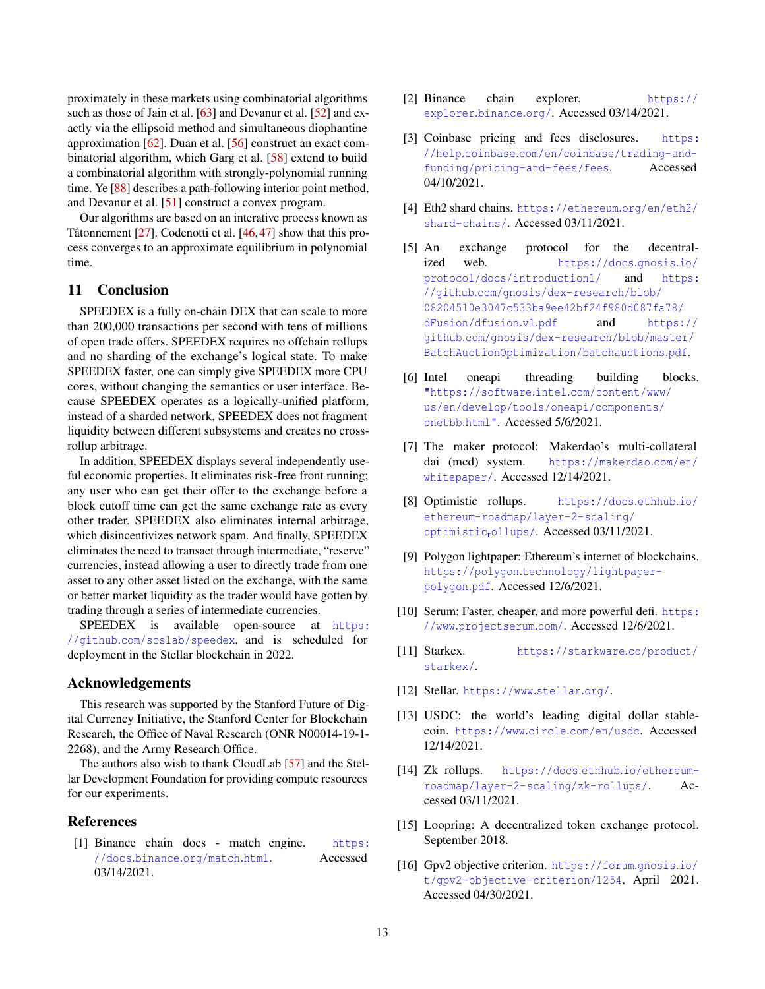proximately in these markets using combinatorial algorithms such as those of Jain et al. [\[63\]](#page-15-20) and Devanur et al. [\[52\]](#page-14-13) and exactly via the ellipsoid method and simultaneous diophantine approximation [\[62\]](#page-14-14). Duan et al. [\[56\]](#page-14-15) construct an exact combinatorial algorithm, which Garg et al. [\[58\]](#page-14-16) extend to build a combinatorial algorithm with strongly-polynomial running time. Ye [\[88\]](#page-16-8) describes a path-following interior point method, and Devanur et al. [\[51\]](#page-14-6) construct a convex program.

Our algorithms are based on an interative process known as Tâtonnement [\[27\]](#page-13-20). Codenotti et al. [\[46,](#page-14-4)[47\]](#page-14-17) show that this process converges to an approximate equilibrium in polynomial time.

# 11 Conclusion

SPEEDEX is a fully on-chain DEX that can scale to more than 200,000 transactions per second with tens of millions of open trade offers. SPEEDEX requires no offchain rollups and no sharding of the exchange's logical state. To make SPEEDEX faster, one can simply give SPEEDEX more CPU cores, without changing the semantics or user interface. Because SPEEDEX operates as a logically-unified platform, instead of a sharded network, SPEEDEX does not fragment liquidity between different subsystems and creates no crossrollup arbitrage.

In addition, SPEEDEX displays several independently useful economic properties. It eliminates risk-free front running; any user who can get their offer to the exchange before a block cutoff time can get the same exchange rate as every other trader. SPEEDEX also eliminates internal arbitrage, which disincentivizes network spam. And finally, SPEEDEX eliminates the need to transact through intermediate, "reserve" currencies, instead allowing a user to directly trade from one asset to any other asset listed on the exchange, with the same or better market liquidity as the trader would have gotten by trading through a series of intermediate currencies.

SPEEDEX is available open-source at [https:](https://github.com/scslab/speedex) //github.[com/scslab/speedex](https://github.com/scslab/speedex), and is scheduled for deployment in the Stellar blockchain in 2022.

# Acknowledgements

This research was supported by the Stanford Future of Digital Currency Initiative, the Stanford Center for Blockchain Research, the Office of Naval Research (ONR N00014-19-1- 2268), and the Army Research Office.

The authors also wish to thank CloudLab [\[57\]](#page-14-18) and the Stellar Development Foundation for providing compute resources for our experiments.

# **References**

<span id="page-12-5"></span>[1] Binance chain docs - match engine. [https:](https://docs.binance.org/match.html) //docs.binance.[org/match](https://docs.binance.org/match.html).html. Accessed 03/14/2021.

- <span id="page-12-13"></span>[2] Binance chain explorer. [https://](https://explorer.binance.org/) [explorer](https://explorer.binance.org/).binance.org/. Accessed 03/14/2021.
- <span id="page-12-6"></span>[3] Coinbase pricing and fees disclosures. [https:](https://help.coinbase.com/en/coinbase/trading-and-funding/pricing-and-fees/fees) //help.coinbase.[com/en/coinbase/trading-and](https://help.coinbase.com/en/coinbase/trading-and-funding/pricing-and-fees/fees)[funding/pricing-and-fees/fees](https://help.coinbase.com/en/coinbase/trading-and-funding/pricing-and-fees/fees). Accessed 04/10/2021.
- <span id="page-12-4"></span>[4] Eth2 shard chains. [https://ethereum](https://ethereum.org/en/eth2/shard-chains/).org/en/eth2/ [shard-chains/](https://ethereum.org/en/eth2/shard-chains/). Accessed 03/11/2021.
- <span id="page-12-14"></span>[5] An exchange protocol for the decentralized web. [https://docs](https://docs.gnosis.io/protocol/docs/introduction1/).gnosis.io/ [protocol/docs/introduction1/](https://docs.gnosis.io/protocol/docs/introduction1/) and [https:](https://github.com/gnosis/dex-research/blob/08204510e3047c533ba9ee42bf24f980d087fa78/dFusion/dfusion.v1.pdf) //github.[com/gnosis/dex-research/blob/](https://github.com/gnosis/dex-research/blob/08204510e3047c533ba9ee42bf24f980d087fa78/dFusion/dfusion.v1.pdf) [08204510e3047c533ba9ee42bf24f980d087fa78/](https://github.com/gnosis/dex-research/blob/08204510e3047c533ba9ee42bf24f980d087fa78/dFusion/dfusion.v1.pdf) [dFusion/dfusion](https://github.com/gnosis/dex-research/blob/08204510e3047c533ba9ee42bf24f980d087fa78/dFusion/dfusion.v1.pdf).v1.pdf and [https://](https://github.com/gnosis/dex-research/blob/master/BatchAuctionOptimization/batchauctions.pdf) github.[com/gnosis/dex-research/blob/master/](https://github.com/gnosis/dex-research/blob/master/BatchAuctionOptimization/batchauctions.pdf) [BatchAuctionOptimization/batchauctions](https://github.com/gnosis/dex-research/blob/master/BatchAuctionOptimization/batchauctions.pdf).pdf.
- <span id="page-12-10"></span>[6] Intel oneapi threading building blocks. ["https://software]("https://software.intel.com/content/www/us/en/develop/tools/oneapi/components/onetbb.html").intel.com/content/www/ [us/en/develop/tools/oneapi/components/]("https://software.intel.com/content/www/us/en/develop/tools/oneapi/components/onetbb.html") [onetbb]("https://software.intel.com/content/www/us/en/develop/tools/oneapi/components/onetbb.html").html". Accessed 5/6/2021.
- <span id="page-12-0"></span>[7] The maker protocol: Makerdao's multi-collateral dai (mcd) system. [https://makerdao](https://makerdao.com/en/whitepaper/).com/en/ [whitepaper/](https://makerdao.com/en/whitepaper/). Accessed 12/14/2021.
- <span id="page-12-7"></span>[8] Optimistic rollups. [https://docs](https://docs.ethhub.io/ethereum-roadmap/layer-2-scaling/optimistic_rollups/).ethhub.io/ [ethereum-roadmap/layer-2-scaling/](https://docs.ethhub.io/ethereum-roadmap/layer-2-scaling/optimistic_rollups/) [optimistic](https://docs.ethhub.io/ethereum-roadmap/layer-2-scaling/optimistic_rollups/)rollups/. Accessed 03/11/2021.
- <span id="page-12-8"></span>[9] Polygon lightpaper: Ethereum's internet of blockchains. https://polygon.[technology/lightpaper](https://polygon.technology/lightpaper-polygon.pdf)[polygon](https://polygon.technology/lightpaper-polygon.pdf).pdf. Accessed 12/6/2021.
- <span id="page-12-11"></span>[10] Serum: Faster, cheaper, and more powerful defi. [https:](https://www.projectserum.com/) //www.[projectserum](https://www.projectserum.com/).com/. Accessed 12/6/2021.
- <span id="page-12-2"></span>[11] Starkex. [https://starkware](https://starkware.co/product/starkex/).co/product/ [starkex/](https://starkware.co/product/starkex/).
- <span id="page-12-12"></span>[12] Stellar. [https://www](https://www.stellar.org/).stellar.org/.
- <span id="page-12-1"></span>[13] USDC: the world's leading digital dollar stablecoin. [https://www](https://www.circle.com/en/usdc).circle.com/en/usdc. Accessed 12/14/2021.
- <span id="page-12-9"></span>[14] Zk rollups. [https://docs](https://docs.ethhub.io/ethereum-roadmap/layer-2-scaling/zk-rollups/).ethhub.io/ethereum[roadmap/layer-2-scaling/zk-rollups/](https://docs.ethhub.io/ethereum-roadmap/layer-2-scaling/zk-rollups/). Accessed 03/11/2021.
- <span id="page-12-3"></span>[15] Loopring: A decentralized token exchange protocol. September 2018.
- <span id="page-12-15"></span>[16] Gpv2 objective criterion. [https://forum](https://forum.gnosis.io/t/gpv2-objective-criterion/1254).gnosis.io/ [t/gpv2-objective-criterion/1254](https://forum.gnosis.io/t/gpv2-objective-criterion/1254), April 2021. Accessed 04/30/2021.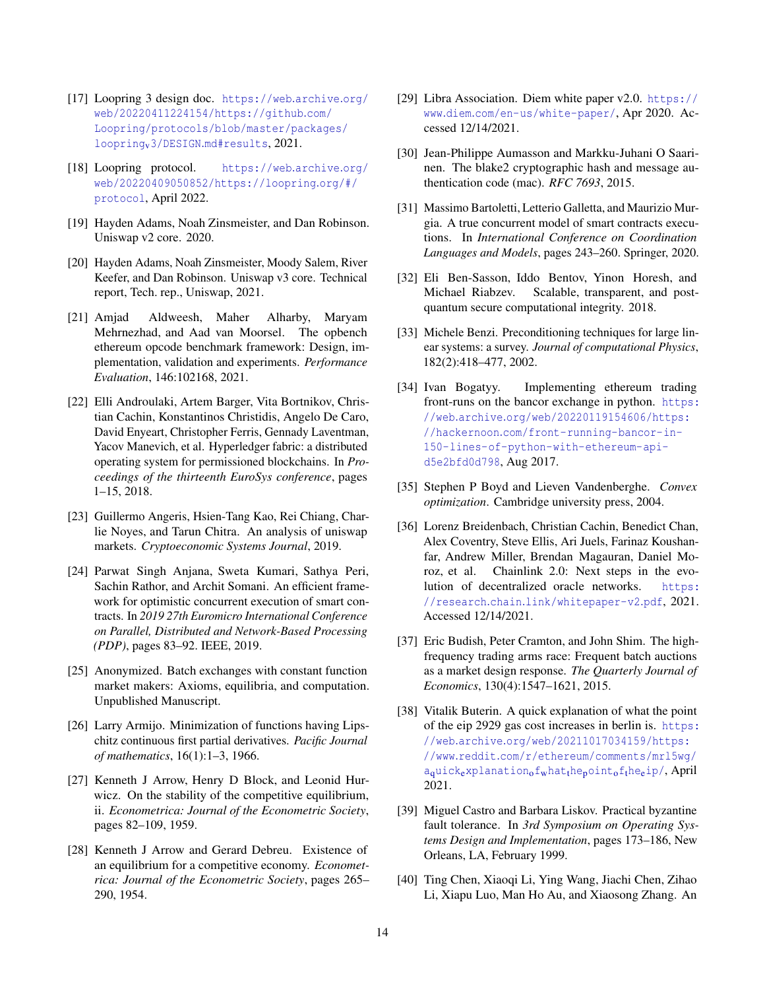- <span id="page-13-6"></span>[17] Loopring 3 design doc. [https://web](https://web.archive.org/web/20220411224154/https://github.com/Loopring/protocols/blob/master/packages/loopring_v3/DESIGN.md#results).archive.org/ [web/20220411224154/https://github](https://web.archive.org/web/20220411224154/https://github.com/Loopring/protocols/blob/master/packages/loopring_v3/DESIGN.md#results).com/ [Loopring/protocols/blob/master/packages/](https://web.archive.org/web/20220411224154/https://github.com/Loopring/protocols/blob/master/packages/loopring_v3/DESIGN.md#results) loopringv3/DESIGN.[md#results](https://web.archive.org/web/20220411224154/https://github.com/Loopring/protocols/blob/master/packages/loopring_v3/DESIGN.md#results), 2021.
- <span id="page-13-5"></span>[18] Loopring protocol. [https://web](https://web.archive.org/web/20220409050852/https://loopring.org/#/protocol).archive.org/ [web/20220409050852/https://loopring](https://web.archive.org/web/20220409050852/https://loopring.org/#/protocol).org/#/ [protocol](https://web.archive.org/web/20220409050852/https://loopring.org/#/protocol), April 2022.
- <span id="page-13-3"></span>[19] Hayden Adams, Noah Zinsmeister, and Dan Robinson. Uniswap v2 core. 2020.
- <span id="page-13-4"></span>[20] Hayden Adams, Noah Zinsmeister, Moody Salem, River Keefer, and Dan Robinson. Uniswap v3 core. Technical report, Tech. rep., Uniswap, 2021.
- <span id="page-13-7"></span>[21] Amjad Aldweesh, Maher Alharby, Maryam Mehrnezhad, and Aad van Moorsel. The opbench ethereum opcode benchmark framework: Design, implementation, validation and experiments. *Performance Evaluation*, 146:102168, 2021.
- <span id="page-13-12"></span>[22] Elli Androulaki, Artem Barger, Vita Bortnikov, Christian Cachin, Konstantinos Christidis, Angelo De Caro, David Enyeart, Christopher Ferris, Gennady Laventman, Yacov Manevich, et al. Hyperledger fabric: a distributed operating system for permissioned blockchains. In *Proceedings of the thirteenth EuroSys conference*, pages 1–15, 2018.
- <span id="page-13-15"></span>[23] Guillermo Angeris, Hsien-Tang Kao, Rei Chiang, Charlie Noyes, and Tarun Chitra. An analysis of uniswap markets. *Cryptoeconomic Systems Journal*, 2019.
- <span id="page-13-13"></span>[24] Parwat Singh Anjana, Sweta Kumari, Sathya Peri, Sachin Rathor, and Archit Somani. An efficient framework for optimistic concurrent execution of smart contracts. In *2019 27th Euromicro International Conference on Parallel, Distributed and Network-Based Processing (PDP)*, pages 83–92. IEEE, 2019.
- <span id="page-13-11"></span>[25] Anonymized. Batch exchanges with constant function market makers: Axioms, equilibria, and computation. Unpublished Manuscript.
- <span id="page-13-21"></span>[26] Larry Armijo. Minimization of functions having Lipschitz continuous first partial derivatives. *Pacific Journal of mathematics*, 16(1):1–3, 1966.
- <span id="page-13-20"></span>[27] Kenneth J Arrow, Henry D Block, and Leonid Hurwicz. On the stability of the competitive equilibrium, ii. *Econometrica: Journal of the Econometric Society*, pages 82–109, 1959.
- <span id="page-13-19"></span>[28] Kenneth J Arrow and Gerard Debreu. Existence of an equilibrium for a competitive economy. *Econometrica: Journal of the Econometric Society*, pages 265– 290, 1954.
- <span id="page-13-0"></span>[29] Libra Association. Diem white paper v2.0. [https://](https://www.diem.com/en-us/white-paper/) www.diem.[com/en-us/white-paper/](https://www.diem.com/en-us/white-paper/), Apr 2020. Accessed 12/14/2021.
- <span id="page-13-10"></span>[30] Jean-Philippe Aumasson and Markku-Juhani O Saarinen. The blake2 cryptographic hash and message authentication code (mac). *RFC 7693*, 2015.
- <span id="page-13-14"></span>[31] Massimo Bartoletti, Letterio Galletta, and Maurizio Murgia. A true concurrent model of smart contracts executions. In *International Conference on Coordination Languages and Models*, pages 243–260. Springer, 2020.
- <span id="page-13-16"></span>[32] Eli Ben-Sasson, Iddo Bentov, Yinon Horesh, and Michael Riabzev. Scalable, transparent, and postquantum secure computational integrity. 2018.
- <span id="page-13-23"></span>[33] Michele Benzi. Preconditioning techniques for large linear systems: a survey. *Journal of computational Physics*, 182(2):418–477, 2002.
- <span id="page-13-2"></span>[34] Ivan Bogatyy. Implementing ethereum trading front-runs on the bancor exchange in python. [https:](https://web.archive.org/web/20220119154606/https://hackernoon.com/front-running-bancor-in-150-lines-of-python-with-ethereum-api-d5e2bfd0d798) //web.archive.[org/web/20220119154606/https:](https://web.archive.org/web/20220119154606/https://hackernoon.com/front-running-bancor-in-150-lines-of-python-with-ethereum-api-d5e2bfd0d798) //hackernoon.[com/front-running-bancor-in-](https://web.archive.org/web/20220119154606/https://hackernoon.com/front-running-bancor-in-150-lines-of-python-with-ethereum-api-d5e2bfd0d798)[150-lines-of-python-with-ethereum-api](https://web.archive.org/web/20220119154606/https://hackernoon.com/front-running-bancor-in-150-lines-of-python-with-ethereum-api-d5e2bfd0d798)[d5e2bfd0d798](https://web.archive.org/web/20220119154606/https://hackernoon.com/front-running-bancor-in-150-lines-of-python-with-ethereum-api-d5e2bfd0d798), Aug 2017.
- <span id="page-13-22"></span>[35] Stephen P Boyd and Lieven Vandenberghe. *Convex optimization*. Cambridge university press, 2004.
- <span id="page-13-17"></span>[36] Lorenz Breidenbach, Christian Cachin, Benedict Chan, Alex Coventry, Steve Ellis, Ari Juels, Farinaz Koushanfar, Andrew Miller, Brendan Magauran, Daniel Moroz, et al. Chainlink 2.0: Next steps in the evolution of decentralized oracle networks. [https:](https://research.chain.link/whitepaper-v2.pdf) //research.chain.[link/whitepaper-v2](https://research.chain.link/whitepaper-v2.pdf).pdf, 2021. Accessed 12/14/2021.
- <span id="page-13-18"></span>[37] Eric Budish, Peter Cramton, and John Shim. The highfrequency trading arms race: Frequent batch auctions as a market design response. *The Quarterly Journal of Economics*, 130(4):1547–1621, 2015.
- <span id="page-13-8"></span>[38] Vitalik Buterin. A quick explanation of what the point of the eip 2929 gas cost increases in berlin is. [https:](https://web.archive.org/web/20211017034159/https://www.reddit.com/r/ethereum/comments/mrl5wg/a_quick_explanation_of_what_the_point_of_the_eip/) //web.archive.[org/web/20211017034159/https:](https://web.archive.org/web/20211017034159/https://www.reddit.com/r/ethereum/comments/mrl5wg/a_quick_explanation_of_what_the_point_of_the_eip/) //www.reddit.[com/r/ethereum/comments/mrl5wg/](https://web.archive.org/web/20211017034159/https://www.reddit.com/r/ethereum/comments/mrl5wg/a_quick_explanation_of_what_the_point_of_the_eip/)  $a<sub>q</sub>uick<sub>e</sub>xplanation<sub>o</sub>f<sub>w</sub>hat<sub>t</sub>he<sub>p</sub>oint<sub>o</sub>f<sub>t</sub>he<sub>e</sub>ip/$  $a<sub>q</sub>uick<sub>e</sub>xplanation<sub>o</sub>f<sub>w</sub>hat<sub>t</sub>he<sub>p</sub>oint<sub>o</sub>f<sub>t</sub>he<sub>e</sub>ip/$  $a<sub>q</sub>uick<sub>e</sub>xplanation<sub>o</sub>f<sub>w</sub>hat<sub>t</sub>he<sub>p</sub>oint<sub>o</sub>f<sub>t</sub>he<sub>e</sub>ip/$ , April 2021.
- <span id="page-13-1"></span>[39] Miguel Castro and Barbara Liskov. Practical byzantine fault tolerance. In *3rd Symposium on Operating Systems Design and Implementation*, pages 173–186, New Orleans, LA, February 1999.
- <span id="page-13-9"></span>[40] Ting Chen, Xiaoqi Li, Ying Wang, Jiachi Chen, Zihao Li, Xiapu Luo, Man Ho Au, and Xiaosong Zhang. An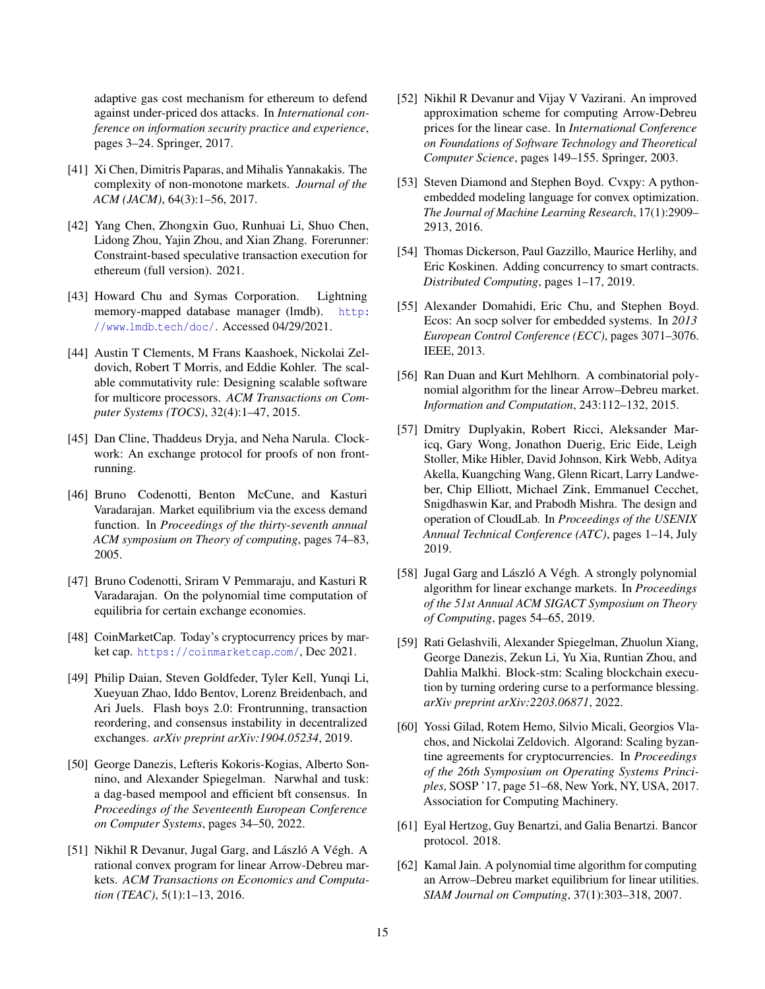adaptive gas cost mechanism for ethereum to defend against under-priced dos attacks. In *International conference on information security practice and experience*, pages 3–24. Springer, 2017.

- <span id="page-14-21"></span>[41] Xi Chen, Dimitris Paparas, and Mihalis Yannakakis. The complexity of non-monotone markets. *Journal of the ACM (JACM)*, 64(3):1–56, 2017.
- <span id="page-14-8"></span>[42] Yang Chen, Zhongxin Guo, Runhuai Li, Shuo Chen, Lidong Zhou, Yajin Zhou, and Xian Zhang. Forerunner: Constraint-based speculative transaction execution for ethereum (full version). 2021.
- <span id="page-14-7"></span>[43] Howard Chu and Symas Corporation. Lightning memory-mapped database manager (lmdb). [http:](http://www.lmdb.tech/doc/) //www.lmdb.[tech/doc/](http://www.lmdb.tech/doc/). Accessed 04/29/2021.
- <span id="page-14-1"></span>[44] Austin T Clements, M Frans Kaashoek, Nickolai Zeldovich, Robert T Morris, and Eddie Kohler. The scalable commutativity rule: Designing scalable software for multicore processors. *ACM Transactions on Computer Systems (TOCS)*, 32(4):1–47, 2015.
- <span id="page-14-12"></span>[45] Dan Cline, Thaddeus Dryja, and Neha Narula. Clockwork: An exchange protocol for proofs of non frontrunning.
- <span id="page-14-4"></span>[46] Bruno Codenotti, Benton McCune, and Kasturi Varadarajan. Market equilibrium via the excess demand function. In *Proceedings of the thirty-seventh annual ACM symposium on Theory of computing*, pages 74–83, 2005.
- <span id="page-14-17"></span>[47] Bruno Codenotti, Sriram V Pemmaraju, and Kasturi R Varadarajan. On the polynomial time computation of equilibria for certain exchange economies.
- <span id="page-14-3"></span>[48] CoinMarketCap. Today's cryptocurrency prices by market cap. [https://coinmarketcap](https://coinmarketcap.com/).com/, Dec 2021.
- <span id="page-14-0"></span>[49] Philip Daian, Steven Goldfeder, Tyler Kell, Yunqi Li, Xueyuan Zhao, Iddo Bentov, Lorenz Breidenbach, and Ari Juels. Flash boys 2.0: Frontrunning, transaction reordering, and consensus instability in decentralized exchanges. *arXiv preprint arXiv:1904.05234*, 2019.
- <span id="page-14-2"></span>[50] George Danezis, Lefteris Kokoris-Kogias, Alberto Sonnino, and Alexander Spiegelman. Narwhal and tusk: a dag-based mempool and efficient bft consensus. In *Proceedings of the Seventeenth European Conference on Computer Systems*, pages 34–50, 2022.
- <span id="page-14-6"></span>[51] Nikhil R Devanur, Jugal Garg, and László A Végh. A rational convex program for linear Arrow-Debreu markets. *ACM Transactions on Economics and Computation (TEAC)*, 5(1):1–13, 2016.
- <span id="page-14-13"></span>[52] Nikhil R Devanur and Vijay V Vazirani. An improved approximation scheme for computing Arrow-Debreu prices for the linear case. In *International Conference on Foundations of Software Technology and Theoretical Computer Science*, pages 149–155. Springer, 2003.
- <span id="page-14-19"></span>[53] Steven Diamond and Stephen Boyd. Cvxpy: A pythonembedded modeling language for convex optimization. *The Journal of Machine Learning Research*, 17(1):2909– 2913, 2016.
- <span id="page-14-10"></span>[54] Thomas Dickerson, Paul Gazzillo, Maurice Herlihy, and Eric Koskinen. Adding concurrency to smart contracts. *Distributed Computing*, pages 1–17, 2019.
- <span id="page-14-20"></span>[55] Alexander Domahidi, Eric Chu, and Stephen Boyd. Ecos: An socp solver for embedded systems. In *2013 European Control Conference (ECC)*, pages 3071–3076. IEEE, 2013.
- <span id="page-14-15"></span>[56] Ran Duan and Kurt Mehlhorn. A combinatorial polynomial algorithm for the linear Arrow–Debreu market. *Information and Computation*, 243:112–132, 2015.
- <span id="page-14-18"></span>[57] Dmitry Duplyakin, Robert Ricci, Aleksander Maricq, Gary Wong, Jonathon Duerig, Eric Eide, Leigh Stoller, Mike Hibler, David Johnson, Kirk Webb, Aditya Akella, Kuangching Wang, Glenn Ricart, Larry Landweber, Chip Elliott, Michael Zink, Emmanuel Cecchet, Snigdhaswin Kar, and Prabodh Mishra. The design and operation of CloudLab. In *Proceedings of the USENIX Annual Technical Conference (ATC)*, pages 1–14, July 2019.
- <span id="page-14-16"></span>[58] Jugal Garg and László A Végh. A strongly polynomial algorithm for linear exchange markets. In *Proceedings of the 51st Annual ACM SIGACT Symposium on Theory of Computing*, pages 54–65, 2019.
- <span id="page-14-9"></span>[59] Rati Gelashvili, Alexander Spiegelman, Zhuolun Xiang, George Danezis, Zekun Li, Yu Xia, Runtian Zhou, and Dahlia Malkhi. Block-stm: Scaling blockchain execution by turning ordering curse to a performance blessing. *arXiv preprint arXiv:2203.06871*, 2022.
- <span id="page-14-5"></span>[60] Yossi Gilad, Rotem Hemo, Silvio Micali, Georgios Vlachos, and Nickolai Zeldovich. Algorand: Scaling byzantine agreements for cryptocurrencies. In *Proceedings of the 26th Symposium on Operating Systems Principles*, SOSP '17, page 51–68, New York, NY, USA, 2017. Association for Computing Machinery.
- <span id="page-14-11"></span>[61] Eyal Hertzog, Guy Benartzi, and Galia Benartzi. Bancor protocol. 2018.
- <span id="page-14-14"></span>[62] Kamal Jain. A polynomial time algorithm for computing an Arrow–Debreu market equilibrium for linear utilities. *SIAM Journal on Computing*, 37(1):303–318, 2007.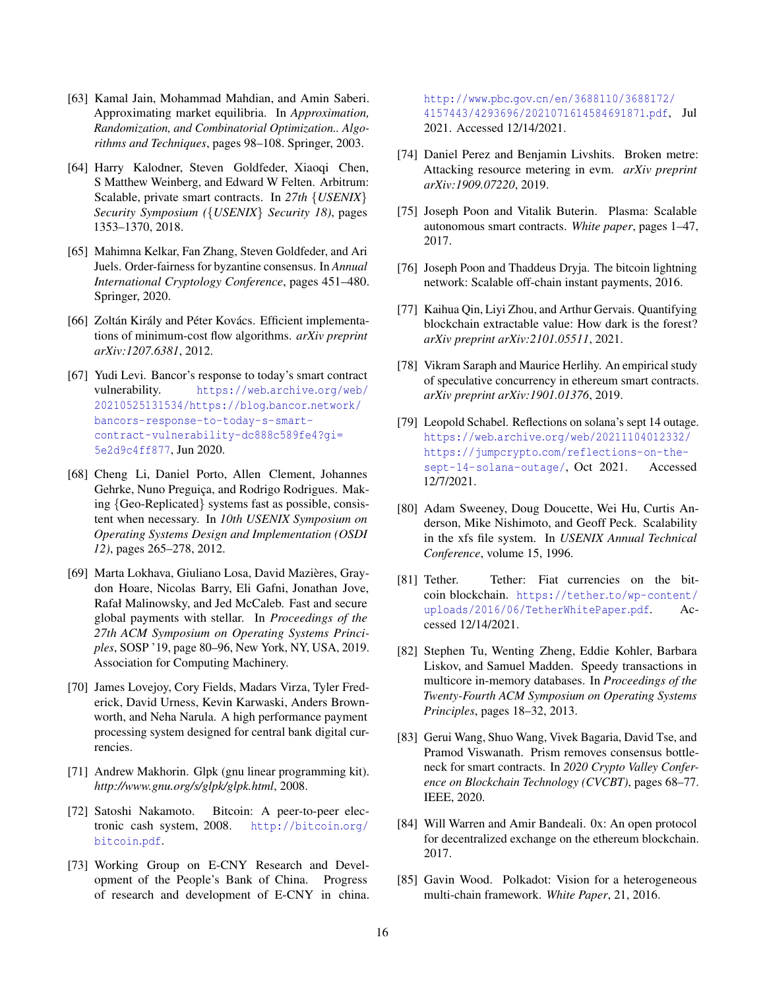- <span id="page-15-20"></span>[63] Kamal Jain, Mohammad Mahdian, and Amin Saberi. Approximating market equilibria. In *Approximation, Randomization, and Combinatorial Optimization.. Algorithms and Techniques*, pages 98–108. Springer, 2003.
- <span id="page-15-10"></span>[64] Harry Kalodner, Steven Goldfeder, Xiaoqi Chen, S Matthew Weinberg, and Edward W Felten. Arbitrum: Scalable, private smart contracts. In *27th* {*USENIX*} *Security Symposium (*{*USENIX*} *Security 18)*, pages 1353–1370, 2018.
- <span id="page-15-19"></span>[65] Mahimna Kelkar, Fan Zhang, Steven Goldfeder, and Ari Juels. Order-fairness for byzantine consensus. In *Annual International Cryptology Conference*, pages 451–480. Springer, 2020.
- <span id="page-15-21"></span>[66] Zoltán Király and Péter Kovács. Efficient implementations of minimum-cost flow algorithms. *arXiv preprint arXiv:1207.6381*, 2012.
- <span id="page-15-3"></span>[67] Yudi Levi. Bancor's response to today's smart contract vulnerability. [https://web](https://web.archive.org/web/20210525131534/https://blog.bancor.network/bancors-response-to-today-s-smart-contract-vulnerability-dc888c589fe4?gi=5e2d9c4ff877).archive.org/web/ [20210525131534/https://blog](https://web.archive.org/web/20210525131534/https://blog.bancor.network/bancors-response-to-today-s-smart-contract-vulnerability-dc888c589fe4?gi=5e2d9c4ff877).bancor.network/ [bancors-response-to-today-s-smart](https://web.archive.org/web/20210525131534/https://blog.bancor.network/bancors-response-to-today-s-smart-contract-vulnerability-dc888c589fe4?gi=5e2d9c4ff877)[contract-vulnerability-dc888c589fe4?gi=](https://web.archive.org/web/20210525131534/https://blog.bancor.network/bancors-response-to-today-s-smart-contract-vulnerability-dc888c589fe4?gi=5e2d9c4ff877) [5e2d9c4ff877](https://web.archive.org/web/20210525131534/https://blog.bancor.network/bancors-response-to-today-s-smart-contract-vulnerability-dc888c589fe4?gi=5e2d9c4ff877), Jun 2020.
- <span id="page-15-18"></span>[68] Cheng Li, Daniel Porto, Allen Clement, Johannes Gehrke, Nuno Preguiça, and Rodrigo Rodrigues. Making {Geo-Replicated} systems fast as possible, consistent when necessary. In *10th USENIX Symposium on Operating Systems Design and Implementation (OSDI 12)*, pages 265–278, 2012.
- <span id="page-15-7"></span>[69] Marta Lokhava, Giuliano Losa, David Mazières, Graydon Hoare, Nicolas Barry, Eli Gafni, Jonathan Jove, Rafał Malinowsky, and Jed McCaleb. Fast and secure global payments with stellar. In *Proceedings of the 27th ACM Symposium on Operating Systems Principles*, SOSP '19, page 80–96, New York, NY, USA, 2019. Association for Computing Machinery.
- <span id="page-15-8"></span>[70] James Lovejoy, Cory Fields, Madars Virza, Tyler Frederick, David Urness, Kevin Karwaski, Anders Brownworth, and Neha Narula. A high performance payment processing system designed for central bank digital currencies.
- <span id="page-15-13"></span>[71] Andrew Makhorin. Glpk (gnu linear programming kit). *http://www.gnu.org/s/glpk/glpk.html*, 2008.
- <span id="page-15-2"></span>[72] Satoshi Nakamoto. Bitcoin: A peer-to-peer electronic cash system, 2008. [http://bitcoin](http://bitcoin.org/bitcoin.pdf).org/ [bitcoin](http://bitcoin.org/bitcoin.pdf).pdf.
- <span id="page-15-0"></span>[73] Working Group on E-CNY Research and Development of the People's Bank of China. Progress of research and development of E-CNY in china.

http://www.pbc.gov.[cn/en/3688110/3688172/](http://www.pbc.gov.cn/en/3688110/3688172/4157443/4293696/2021071614584691871.pdf) [4157443/4293696/2021071614584691871](http://www.pbc.gov.cn/en/3688110/3688172/4157443/4293696/2021071614584691871.pdf).pdf, Jul 2021. Accessed 12/14/2021.

- <span id="page-15-12"></span>[74] Daniel Perez and Benjamin Livshits. Broken metre: Attacking resource metering in evm. *arXiv preprint arXiv:1909.07220*, 2019.
- <span id="page-15-6"></span>[75] Joseph Poon and Vitalik Buterin. Plasma: Scalable autonomous smart contracts. *White paper*, pages 1–47, 2017.
- <span id="page-15-15"></span>[76] Joseph Poon and Thaddeus Dryja. The bitcoin lightning network: Scalable off-chain instant payments, 2016.
- <span id="page-15-4"></span>[77] Kaihua Qin, Liyi Zhou, and Arthur Gervais. Quantifying blockchain extractable value: How dark is the forest? *arXiv preprint arXiv:2101.05511*, 2021.
- <span id="page-15-17"></span>[78] Vikram Saraph and Maurice Herlihy. An empirical study of speculative concurrency in ethereum smart contracts. *arXiv preprint arXiv:1901.01376*, 2019.
- <span id="page-15-14"></span>[79] Leopold Schabel. Reflections on solana's sept 14 outage. https://web.archive.[org/web/20211104012332/](https://web.archive.org/web/20211104012332/https://jumpcrypto.com/reflections-on-the-sept-14-solana-outage/) https://jumpcrypto.[com/reflections-on-the](https://web.archive.org/web/20211104012332/https://jumpcrypto.com/reflections-on-the-sept-14-solana-outage/)[sept-14-solana-outage/](https://web.archive.org/web/20211104012332/https://jumpcrypto.com/reflections-on-the-sept-14-solana-outage/), Oct 2021. Accessed 12/7/2021.
- <span id="page-15-9"></span>[80] Adam Sweeney, Doug Doucette, Wei Hu, Curtis Anderson, Mike Nishimoto, and Geoff Peck. Scalability in the xfs file system. In *USENIX Annual Technical Conference*, volume 15, 1996.
- <span id="page-15-1"></span>[81] Tether. Tether: Fiat currencies on the bitcoin blockchain. https://tether.[to/wp-content/](https://tether.to/wp-content/uploads/2016/06/TetherWhitePaper.pdf) [uploads/2016/06/TetherWhitePaper](https://tether.to/wp-content/uploads/2016/06/TetherWhitePaper.pdf).pdf. Accessed 12/14/2021.
- <span id="page-15-22"></span>[82] Stephen Tu, Wenting Zheng, Eddie Kohler, Barbara Liskov, and Samuel Madden. Speedy transactions in multicore in-memory databases. In *Proceedings of the Twenty-Fourth ACM Symposium on Operating Systems Principles*, pages 18–32, 2013.
- <span id="page-15-11"></span>[83] Gerui Wang, Shuo Wang, Vivek Bagaria, David Tse, and Pramod Viswanath. Prism removes consensus bottleneck for smart contracts. In *2020 Crypto Valley Conference on Blockchain Technology (CVCBT)*, pages 68–77. IEEE, 2020.
- <span id="page-15-5"></span>[84] Will Warren and Amir Bandeali. 0x: An open protocol for decentralized exchange on the ethereum blockchain. 2017.
- <span id="page-15-16"></span>[85] Gavin Wood. Polkadot: Vision for a heterogeneous multi-chain framework. *White Paper*, 21, 2016.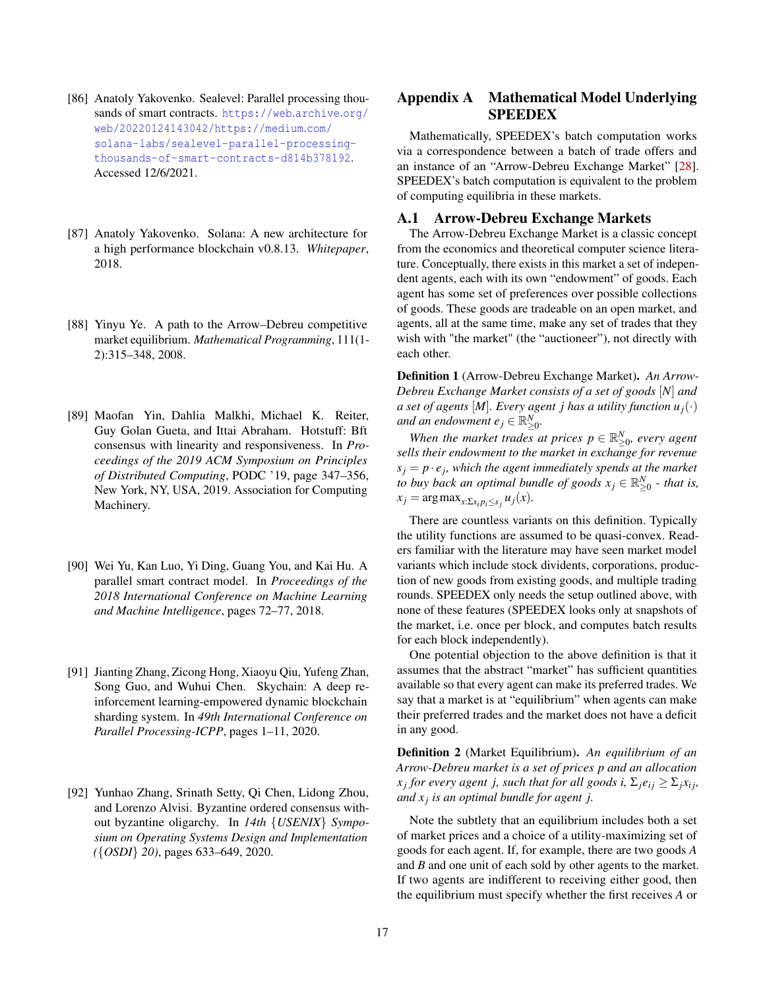- <span id="page-16-4"></span>[86] Anatoly Yakovenko. Sealevel: Parallel processing thousands of smart contracts. [https://web](https://web.archive.org/web/20220124143042/https://medium.com/solana-labs/sealevel-parallel-processing-thousands-of-smart-contracts-d814b378192).archive.org/ [web/20220124143042/https://medium](https://web.archive.org/web/20220124143042/https://medium.com/solana-labs/sealevel-parallel-processing-thousands-of-smart-contracts-d814b378192).com/ [solana-labs/sealevel-parallel-processing](https://web.archive.org/web/20220124143042/https://medium.com/solana-labs/sealevel-parallel-processing-thousands-of-smart-contracts-d814b378192)[thousands-of-smart-contracts-d814b378192](https://web.archive.org/web/20220124143042/https://medium.com/solana-labs/sealevel-parallel-processing-thousands-of-smart-contracts-d814b378192). Accessed 12/6/2021.
- <span id="page-16-3"></span>[87] Anatoly Yakovenko. Solana: A new architecture for a high performance blockchain v0.8.13. *Whitepaper*, 2018.
- <span id="page-16-8"></span>[88] Yinyu Ye. A path to the Arrow–Debreu competitive market equilibrium. *Mathematical Programming*, 111(1- 2):315–348, 2008.
- <span id="page-16-0"></span>[89] Maofan Yin, Dahlia Malkhi, Michael K. Reiter, Guy Golan Gueta, and Ittai Abraham. Hotstuff: Bft consensus with linearity and responsiveness. In *Proceedings of the 2019 ACM Symposium on Principles of Distributed Computing*, PODC '19, page 347–356, New York, NY, USA, 2019. Association for Computing Machinery.
- <span id="page-16-6"></span>[90] Wei Yu, Kan Luo, Yi Ding, Guang You, and Kai Hu. A parallel smart contract model. In *Proceedings of the 2018 International Conference on Machine Learning and Machine Intelligence*, pages 72–77, 2018.
- <span id="page-16-5"></span>[91] Jianting Zhang, Zicong Hong, Xiaoyu Qiu, Yufeng Zhan, Song Guo, and Wuhui Chen. Skychain: A deep reinforcement learning-empowered dynamic blockchain sharding system. In *49th International Conference on Parallel Processing-ICPP*, pages 1–11, 2020.
- <span id="page-16-7"></span>[92] Yunhao Zhang, Srinath Setty, Qi Chen, Lidong Zhou, and Lorenzo Alvisi. Byzantine ordered consensus without byzantine oligarchy. In *14th* {*USENIX*} *Symposium on Operating Systems Design and Implementation (*{*OSDI*} *20)*, pages 633–649, 2020.

# <span id="page-16-2"></span>Appendix A Mathematical Model Underlying SPEEDEX

Mathematically, SPEEDEX's batch computation works via a correspondence between a batch of trade offers and an instance of an "Arrow-Debreu Exchange Market" [\[28\]](#page-13-19). SPEEDEX's batch computation is equivalent to the problem of computing equilibria in these markets.

# <span id="page-16-1"></span>A.1 Arrow-Debreu Exchange Markets

The Arrow-Debreu Exchange Market is a classic concept from the economics and theoretical computer science literature. Conceptually, there exists in this market a set of independent agents, each with its own "endowment" of goods. Each agent has some set of preferences over possible collections of goods. These goods are tradeable on an open market, and agents, all at the same time, make any set of trades that they wish with "the market" (the "auctioneer"), not directly with each other.

Definition 1 (Arrow-Debreu Exchange Market). *An Arrow-Debreu Exchange Market consists of a set of goods* [*N*] *and a set of agents* [*M*]*. Every agent j has a utility function*  $u_i(\cdot)$ and an endowment  $e_j \in \mathbb{R}_{\geq 0}^N$ .

*When the market trades at prices*  $p \in \mathbb{R}^N_{\geq 0}$ , every agent *sells their endowment to the market in exchange for revenue*  $s_j = p \cdot e_j$ , which the agent immediately spends at the market *to buy back an optimal bundle of goods*  $x_j \in \mathbb{R}^N_{\geq 0}$  *- that is,*  $x_j = \arg \max_{x: \sum x_i p_i \leq s_j} u_j(x)$ .

There are countless variants on this definition. Typically the utility functions are assumed to be quasi-convex. Readers familiar with the literature may have seen market model variants which include stock dividents, corporations, production of new goods from existing goods, and multiple trading rounds. SPEEDEX only needs the setup outlined above, with none of these features (SPEEDEX looks only at snapshots of the market, i.e. once per block, and computes batch results for each block independently).

One potential objection to the above definition is that it assumes that the abstract "market" has sufficient quantities available so that every agent can make its preferred trades. We say that a market is at "equilibrium" when agents can make their preferred trades and the market does not have a deficit in any good.

Definition 2 (Market Equilibrium). *An equilibrium of an Arrow-Debreu market is a set of prices p and an allocation x*<sub>j</sub> for every agent *j,* such that for all goods *i,*  $\Sigma_j e_{ij} \ge \Sigma_j x_{ij}$ , *and x <sup>j</sup> is an optimal bundle for agent j.*

Note the subtlety that an equilibrium includes both a set of market prices and a choice of a utility-maximizing set of goods for each agent. If, for example, there are two goods *A* and *B* and one unit of each sold by other agents to the market. If two agents are indifferent to receiving either good, then the equilibrium must specify whether the first receives *A* or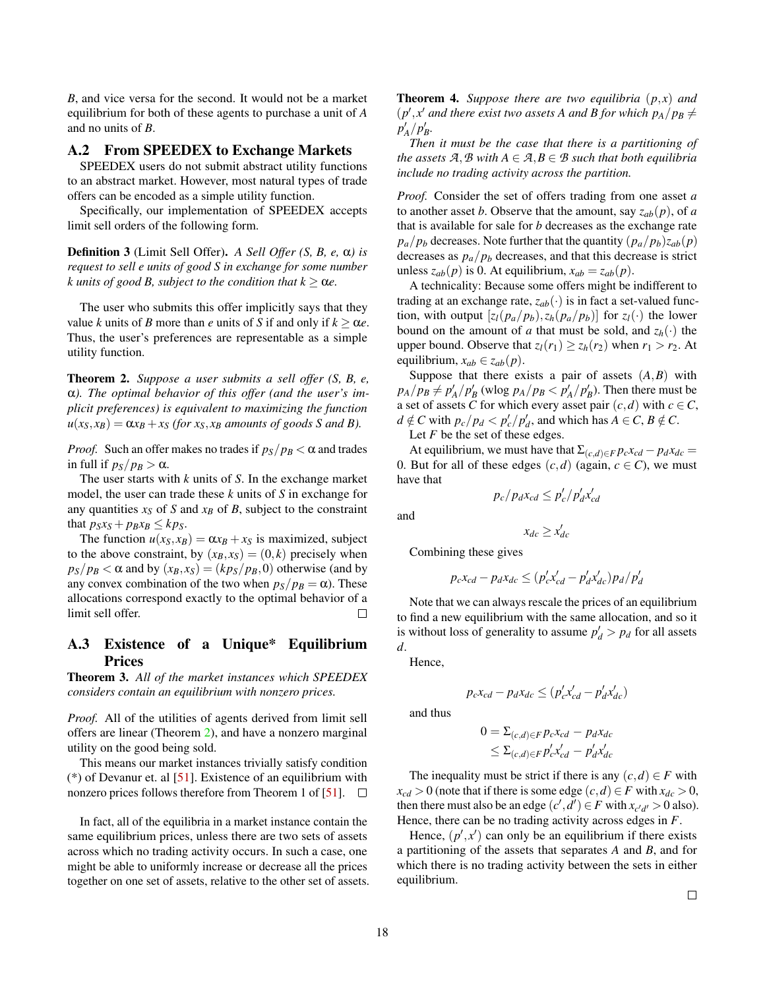*B*, and vice versa for the second. It would not be a market equilibrium for both of these agents to purchase a unit of *A* and no units of *B*.

# A.2 From SPEEDEX to Exchange Markets

SPEEDEX users do not submit abstract utility functions to an abstract market. However, most natural types of trade offers can be encoded as a simple utility function.

Specifically, our implementation of SPEEDEX accepts limit sell orders of the following form.

Definition 3 (Limit Sell Offer). *A Sell Offer (S, B, e,* α*) is request to sell e units of good S in exchange for some number k* units of good *B*, subject to the condition that  $k \geq \alpha e$ .

The user who submits this offer implicitly says that they value *k* units of *B* more than *e* units of *S* if and only if  $k > \alpha e$ . Thus, the user's preferences are representable as a simple utility function.

<span id="page-17-1"></span>Theorem 2. *Suppose a user submits a sell offer (S, B, e,* α*). The optimal behavior of this offer (and the user's implicit preferences) is equivalent to maximizing the function*  $u(x_S, x_B) = \alpha x_B + x_S$  (for  $x_S, x_B$  amounts of goods S and B).

*Proof.* Such an offer makes no trades if  $p_S/p_B < \alpha$  and trades in full if  $p_S/p_B > \alpha$ .

The user starts with *k* units of *S*. In the exchange market model, the user can trade these *k* units of *S* in exchange for any quantities  $x_S$  of *S* and  $x_B$  of *B*, subject to the constraint that  $p_S x_S + p_B x_B \leq k p_S$ .

The function  $u(x_S, x_B) = \alpha x_B + x_S$  is maximized, subject to the above constraint, by  $(x_B, x_S) = (0, k)$  precisely when  $p_S/p_B < \alpha$  and by  $(x_B, x_S) = (k p_S/p_B, 0)$  otherwise (and by any convex combination of the two when  $p_S/p_B = \alpha$ ). These allocations correspond exactly to the optimal behavior of a limit sell offer.  $\Box$ 

# <span id="page-17-0"></span>A.3 Existence of a Unique\* Equilibrium Prices

Theorem 3. *All of the market instances which SPEEDEX considers contain an equilibrium with nonzero prices.*

*Proof.* All of the utilities of agents derived from limit sell offers are linear (Theorem [2\)](#page-17-1), and have a nonzero marginal utility on the good being sold.

This means our market instances trivially satisfy condition  $(*)$  of Devanur et. al [\[51\]](#page-14-6). Existence of an equilibrium with nonzero prices follows therefore from Theorem 1 of [\[51\]](#page-14-6).  $\Box$ 

In fact, all of the equilibria in a market instance contain the same equilibrium prices, unless there are two sets of assets across which no trading activity occurs. In such a case, one might be able to uniformly increase or decrease all the prices together on one set of assets, relative to the other set of assets. <span id="page-17-2"></span>**Theorem 4.** Suppose there are two equilibria  $(p, x)$  and  $(p', x'$  and there exist two assets A and B for which  $p_A / p_B \neq$  $p'_A/p'_B$ .

*Then it must be the case that there is a partitioning of the assets*  $A, B$  *with*  $A \in A, B \in B$  *such that both equilibria include no trading activity across the partition.*

*Proof.* Consider the set of offers trading from one asset *a* to another asset *b*. Observe that the amount, say  $z_{ab}(p)$ , of *a* that is available for sale for *b* decreases as the exchange rate  $p_a/p_b$  decreases. Note further that the quantity  $(p_a/p_b)z_{ab}(p)$ decreases as  $p_a/p_b$  decreases, and that this decrease is strict unless  $z_{ab}(p)$  is 0. At equilibrium,  $x_{ab} = z_{ab}(p)$ .

A technicality: Because some offers might be indifferent to trading at an exchange rate,  $z_{ab}(\cdot)$  is in fact a set-valued function, with output  $[z_l(p_a/p_b), z_h(p_a/p_b)]$  for  $z_l(\cdot)$  the lower bound on the amount of *a* that must be sold, and  $z_h(\cdot)$  the upper bound. Observe that  $z_l(r_1) \ge z_h(r_2)$  when  $r_1 > r_2$ . At equilibrium,  $x_{ab} \in z_{ab}(p)$ .

Suppose that there exists a pair of assets  $(A, B)$  with  $p_A/p_B \neq p'_A/p'_B$  (wlog  $p_A/p_B < p'_A/p'_B$ ). Then there must be a set of assets *C* for which every asset pair  $(c,d)$  with  $c \in C$ ,  $d \notin C$  with  $p_c / p_d < p'_c / p'_d$ , and which has  $A \in C$ ,  $B \notin C$ .

Let *F* be the set of these edges.

At equilibrium, we must have that  $\Sigma_{(c,d) \in F} p_c x_{cd} - p_d x_{dc} =$ 0. But for all of these edges  $(c,d)$  (again,  $c \in C$ ), we must have that

$$
p_c / p_d x_{cd} \le p_c' / p_d' x_{cd}'
$$

 $x_{dc} \geq x_{dc}'$ 

and

Combining these gives

$$
p_c x_{cd} - p_d x_{dc} \le (p_c' x_{cd}' - p_d' x_{dc}') p_d / p_d'
$$

Note that we can always rescale the prices of an equilibrium to find a new equilibrium with the same allocation, and so it is without loss of generality to assume  $p_d' > p_d$  for all assets *d*.

Hence,

$$
p_c x_{cd} - p_d x_{dc} \le (p_c' x_{cd}' - p_d' x_{dc}')
$$

and thus

$$
0 = \sum_{(c,d) \in F} p_c x_{cd} - p_d x_{dc}
$$
  

$$
\leq \sum_{(c,d) \in F} p_c' x_{cd}' - p_d' x_{dc}'
$$

The inequality must be strict if there is any  $(c,d) \in F$  with  $x_{cd} > 0$  (note that if there is some edge  $(c,d) \in F$  with  $x_{dc} > 0$ , then there must also be an edge  $(c', d') \in F$  with  $x_{c'd'} > 0$  also). Hence, there can be no trading activity across edges in *F*.

Hence,  $(p', x')$  can only be an equilibrium if there exists a partitioning of the assets that separates *A* and *B*, and for which there is no trading activity between the sets in either equilibrium.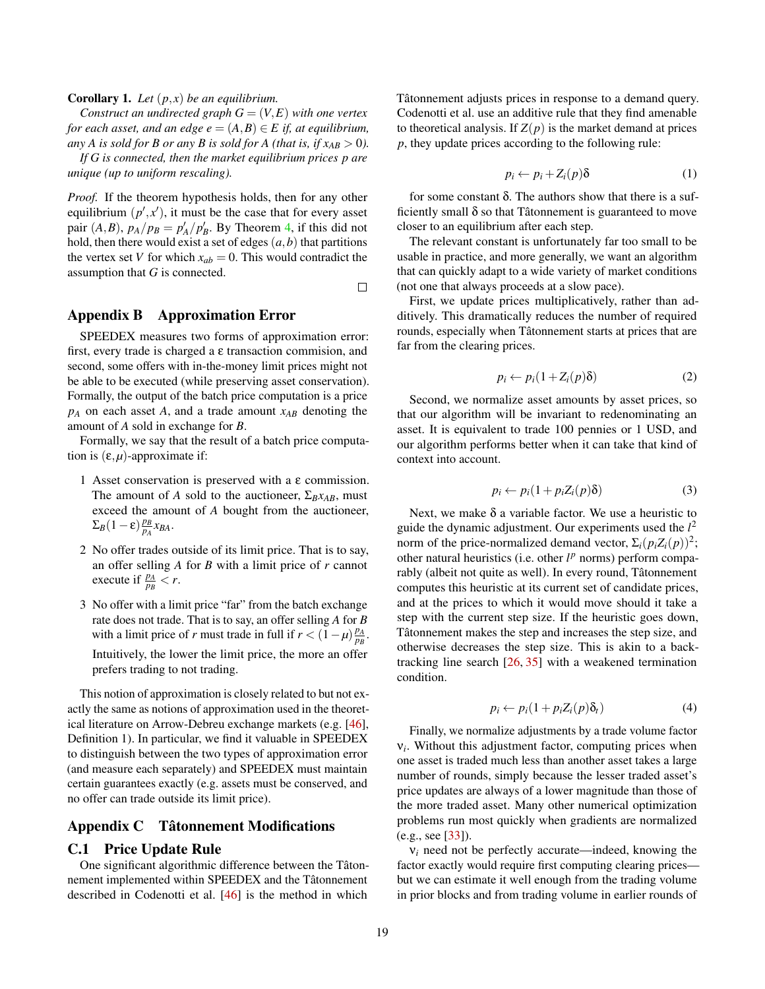Corollary 1. *Let* (*p*, *x*) *be an equilibrium.*

*Construct an undirected graph*  $G = (V, E)$  *with one vertex for each asset, and an edge*  $e = (A, B) \in E$  *if, at equilibrium, any A is sold for B or any B is sold for A (that is, if*  $x_{AB} > 0$ *).* 

*If G is connected, then the market equilibrium prices p are unique (up to uniform rescaling).*

*Proof.* If the theorem hypothesis holds, then for any other equilibrium  $(p', x')$ , it must be the case that for every asset pair  $(A, B)$ ,  $p_A/p_B = p'_A/p'_B$ . By Theorem [4,](#page-17-2) if this did not hold, then there would exist a set of edges  $(a, b)$  that partitions the vertex set *V* for which  $x_{ab} = 0$ . This would contradict the assumption that *G* is connected.

 $\Box$ 

# <span id="page-18-0"></span>Appendix B Approximation Error

SPEEDEX measures two forms of approximation error: first, every trade is charged a ε transaction commision, and second, some offers with in-the-money limit prices might not be able to be executed (while preserving asset conservation). Formally, the output of the batch price computation is a price *p<sup>A</sup>* on each asset *A*, and a trade amount *xAB* denoting the amount of *A* sold in exchange for *B*.

Formally, we say that the result of a batch price computation is  $(\varepsilon, \mu)$ -approximate if:

- 1 Asset conservation is preserved with a ε commission. The amount of *A* sold to the auctioneer,  $\Sigma_B x_{AB}$ , must exceed the amount of *A* bought from the auctioneer,  $\Sigma_B(1-\varepsilon)$ <sup>*p<sub>B</sub>*</sup></sup> $\frac{p_B}{p_A}$  $\frac{p_B}{p_A}x_{BA}$ .
- 2 No offer trades outside of its limit price. That is to say, an offer selling *A* for *B* with a limit price of *r* cannot execute if  $\frac{p_A}{p_B} < r$ .
- 3 No offer with a limit price "far" from the batch exchange rate does not trade. That is to say, an offer selling *A* for *B* with a limit price of *r* must trade in full if  $r < (1 - \mu) \frac{p_A}{p_B}$ . Intuitively, the lower the limit price, the more an offer prefers trading to not trading.

This notion of approximation is closely related to but not exactly the same as notions of approximation used in the theoretical literature on Arrow-Debreu exchange markets (e.g. [\[46\]](#page-14-4), Definition 1). In particular, we find it valuable in SPEEDEX to distinguish between the two types of approximation error (and measure each separately) and SPEEDEX must maintain certain guarantees exactly (e.g. assets must be conserved, and no offer can trade outside its limit price).

# <span id="page-18-1"></span>Appendix C Tâtonnement Modifications

# <span id="page-18-2"></span>C.1 Price Update Rule

One significant algorithmic difference between the Tâtonnement implemented within SPEEDEX and the Tâtonnement described in Codenotti et al. [\[46\]](#page-14-4) is the method in which

Tâtonnement adjusts prices in response to a demand query. Codenotti et al. use an additive rule that they find amenable to theoretical analysis. If  $Z(p)$  is the market demand at prices *p*, they update prices according to the following rule:

$$
p_i \leftarrow p_i + Z_i(p)\delta \tag{1}
$$

for some constant  $\delta$ . The authors show that there is a sufficiently small  $\delta$  so that Tâtonnement is guaranteed to move closer to an equilibrium after each step.

The relevant constant is unfortunately far too small to be usable in practice, and more generally, we want an algorithm that can quickly adapt to a wide variety of market conditions (not one that always proceeds at a slow pace).

First, we update prices multiplicatively, rather than additively. This dramatically reduces the number of required rounds, especially when Tâtonnement starts at prices that are far from the clearing prices.

$$
p_i \leftarrow p_i(1 + Z_i(p)\delta) \tag{2}
$$

Second, we normalize asset amounts by asset prices, so that our algorithm will be invariant to redenominating an asset. It is equivalent to trade 100 pennies or 1 USD, and our algorithm performs better when it can take that kind of context into account.

$$
p_i \leftarrow p_i(1 + p_i Z_i(p)\delta) \tag{3}
$$

Next, we make  $\delta$  a variable factor. We use a heuristic to guide the dynamic adjustment. Our experiments used the *l* 2 norm of the price-normalized demand vector,  $\Sigma_i(p_iZ_i(p))^2$ ; other natural heuristics (i.e. other  $l^p$  norms) perform comparably (albeit not quite as well). In every round, Tâtonnement computes this heuristic at its current set of candidate prices, and at the prices to which it would move should it take a step with the current step size. If the heuristic goes down, Tâtonnement makes the step and increases the step size, and otherwise decreases the step size. This is akin to a backtracking line search [\[26,](#page-13-21) [35\]](#page-13-22) with a weakened termination condition.

$$
p_i \leftarrow p_i(1 + p_i Z_i(p)\delta_t) \tag{4}
$$

Finally, we normalize adjustments by a trade volume factor ν*i* . Without this adjustment factor, computing prices when one asset is traded much less than another asset takes a large number of rounds, simply because the lesser traded asset's price updates are always of a lower magnitude than those of the more traded asset. Many other numerical optimization problems run most quickly when gradients are normalized (e.g., see [\[33\]](#page-13-23)).

 $v_i$  need not be perfectly accurate—indeed, knowing the factor exactly would require first computing clearing prices but we can estimate it well enough from the trading volume in prior blocks and from trading volume in earlier rounds of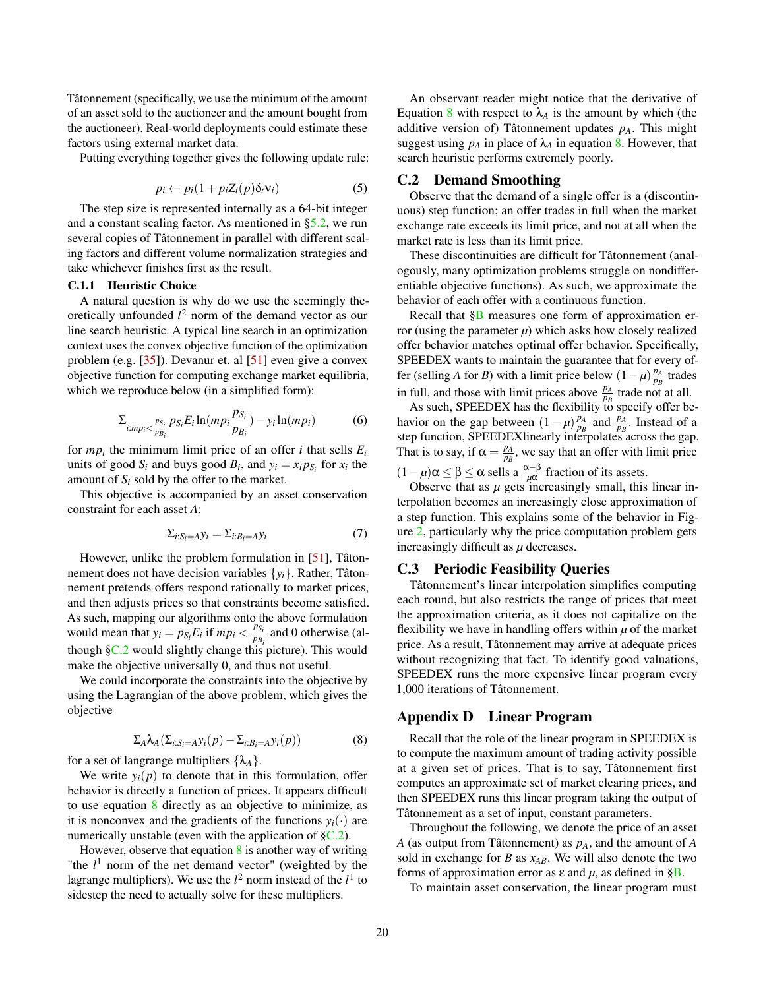Tâtonnement (specifically, we use the minimum of the amount of an asset sold to the auctioneer and the amount bought from the auctioneer). Real-world deployments could estimate these factors using external market data.

Putting everything together gives the following update rule:

$$
p_i \leftarrow p_i (1 + p_i Z_i(p) \delta_t v_i) \tag{5}
$$

The step size is represented internally as a 64-bit integer and a constant scaling factor. As mentioned in [§5.2,](#page-6-2) we run several copies of Tâtonnement in parallel with different scaling factors and different volume normalization strategies and take whichever finishes first as the result.

#### C.1.1 Heuristic Choice

A natural question is why do we use the seemingly theoretically unfounded *l* <sup>2</sup> norm of the demand vector as our line search heuristic. A typical line search in an optimization context uses the convex objective function of the optimization problem (e.g. [\[35\]](#page-13-22)). Devanur et. al [\[51\]](#page-14-6) even give a convex objective function for computing exchange market equilibria, which we reproduce below (in a simplified form):

$$
\Sigma_{i:mp_i<\frac{p_{S_i}}{p_{B_i}}}p_{S_i}E_i\ln(mp_i\frac{p_{S_i}}{p_{B_i}})-y_i\ln(mp_i)
$$
(6)

for  $mp<sub>i</sub>$  the minimum limit price of an offer *i* that sells  $E<sub>i</sub>$ units of good  $S_i$  and buys good  $B_i$ , and  $y_i = x_i p_{S_i}$  for  $x_i$  the amount of  $S_i$  sold by the offer to the market.

This objective is accompanied by an asset conservation constraint for each asset *A*:

$$
\Sigma_{i:S_i=A} y_i = \Sigma_{i:B_i=A} y_i \tag{7}
$$

However, unlike the problem formulation in [\[51\]](#page-14-6), Tâtonnement does not have decision variables {*yi*}. Rather, Tâtonnement pretends offers respond rationally to market prices, and then adjusts prices so that constraints become satisfied. As such, mapping our algorithms onto the above formulation would mean that  $y_i = p_{S_i} E_i$  if  $mp_i < \frac{p_{S_i}}{p_B}$  $\frac{p_{S_i}}{p_{B_i}}$  and 0 otherwise (although [§C.2](#page-19-1) would slightly change this picture). This would make the objective universally 0, and thus not useful.

We could incorporate the constraints into the objective by using the Lagrangian of the above problem, which gives the objective

$$
\Sigma_A \lambda_A (\Sigma_{i:S_i = A} y_i(p) - \Sigma_{i:B_i = A} y_i(p))
$$
 (8)

<span id="page-19-2"></span>for a set of langrange multipliers  $\{\lambda_A\}$ .

We write  $y_i(p)$  to denote that in this formulation, offer behavior is directly a function of prices. It appears difficult to use equation [8](#page-19-2) directly as an objective to minimize, as it is nonconvex and the gradients of the functions  $y_i(\cdot)$  are numerically unstable (even with the application of  $\S$ C.2).

However, observe that equation [8](#page-19-2) is another way of writing "the  $l<sup>1</sup>$  norm of the net demand vector" (weighted by the lagrange multipliers). We use the  $l^2$  norm instead of the  $l^1$  to sidestep the need to actually solve for these multipliers.

An observant reader might notice that the derivative of Equation [8](#page-19-2) with respect to  $\lambda_A$  is the amount by which (the additive version of) Tâtonnement updates *pA*. This might suggest using  $p_A$  in place of  $\lambda_A$  in equation [8.](#page-19-2) However, that search heuristic performs extremely poorly.

#### <span id="page-19-1"></span>C.2 Demand Smoothing

Observe that the demand of a single offer is a (discontinuous) step function; an offer trades in full when the market exchange rate exceeds its limit price, and not at all when the market rate is less than its limit price.

These discontinuities are difficult for Tâtonnement (analogously, many optimization problems struggle on nondifferentiable objective functions). As such, we approximate the behavior of each offer with a continuous function.

Recall that [§B](#page-18-0) measures one form of approximation error (using the parameter  $\mu$ ) which asks how closely realized offer behavior matches optimal offer behavior. Specifically, SPEEDEX wants to maintain the guarantee that for every offer (selling *A* for *B*) with a limit price below  $(1 - \mu) \frac{p_A}{p_B}$  trades in full, and those with limit prices above  $\frac{p_A}{p_B}$  trade not at all.

As such, SPEEDEX has the flexibility to specify offer behavior on the gap between  $(1 - \mu) \frac{p_A}{p_B}$  and  $\frac{p_A}{p_B}$ . Instead of a step function, SPEEDEXlinearly interpolates across the gap. That is to say, if  $\alpha = \frac{p_A}{p_B}$ , we say that an offer with limit price  $(1 - \mu)\alpha \le \beta \le \alpha$  sells a  $\frac{\alpha - \beta}{\mu\alpha}$  fraction of its assets.

Observe that as  $\mu$  gets increasingly small, this linear interpolation becomes an increasingly close approximation of a step function. This explains some of the behavior in Figure [2,](#page-6-1) particularly why the price computation problem gets increasingly difficult as *µ* decreases.

# C.3 Periodic Feasibility Queries

Tâtonnement's linear interpolation simplifies computing each round, but also restricts the range of prices that meet the approximation criteria, as it does not capitalize on the flexibility we have in handling offers within  $\mu$  of the market price. As a result, Tâtonnement may arrive at adequate prices without recognizing that fact. To identify good valuations, SPEEDEX runs the more expensive linear program every 1,000 iterations of Tâtonnement.

### <span id="page-19-0"></span>Appendix D Linear Program

Recall that the role of the linear program in SPEEDEX is to compute the maximum amount of trading activity possible at a given set of prices. That is to say, Tâtonnement first computes an approximate set of market clearing prices, and then SPEEDEX runs this linear program taking the output of Tâtonnement as a set of input, constant parameters.

Throughout the following, we denote the price of an asset *A* (as output from Tâtonnement) as *pA*, and the amount of *A* sold in exchange for *B* as *xAB*. We will also denote the two forms of approximation error as  $\varepsilon$  and  $\mu$ , as defined in [§B.](#page-18-0)

To maintain asset conservation, the linear program must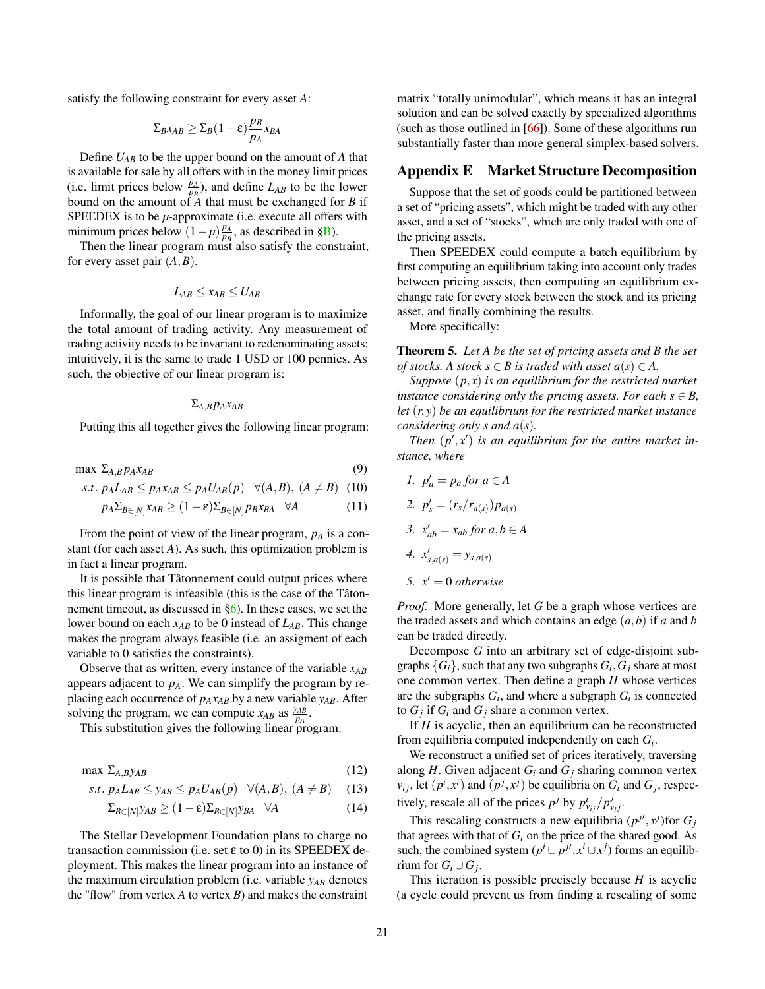satisfy the following constraint for every asset *A*:

$$
\Sigma_B x_{AB} \geq \Sigma_B (1-\varepsilon) \frac{p_B}{p_A} x_{BA}
$$

Define *UAB* to be the upper bound on the amount of *A* that is available for sale by all offers with in the money limit prices (i.e. limit prices below  $\frac{p_A}{p_B}$ ), and define  $L_{AB}$  to be the lower bound on the amount of *A* that must be exchanged for *B* if SPEEDEX is to be  $\mu$ -approximate (i.e. execute all offers with minimum prices below  $(1 - \mu) \frac{p_A}{p_B}$ , as described in [§B\)](#page-18-0).

Then the linear program must also satisfy the constraint, for every asset pair (*A*,*B*),

$$
L_{AB} \leq x_{AB} \leq U_{AB}
$$

Informally, the goal of our linear program is to maximize the total amount of trading activity. Any measurement of trading activity needs to be invariant to redenominating assets; intuitively, it is the same to trade 1 USD or 100 pennies. As such, the objective of our linear program is:

# $Σ$ *A*,*B<i>xAB*

Putting this all together gives the following linear program:

max  $\Sigma_{A,B} p_A x_{AB}$  (9)

$$
s.t. p_A L_{AB} \leq p_A x_{AB} \leq p_A U_{AB}(p) \quad \forall (A, B), (A \neq B) \quad (10)
$$

$$
p_A \Sigma_{B \in [N]} x_{AB} \ge (1 - \varepsilon) \Sigma_{B \in [N]} p_B x_{BA} \quad \forall A \tag{11}
$$

From the point of view of the linear program, *p<sup>A</sup>* is a constant (for each asset *A*). As such, this optimization problem is in fact a linear program.

It is possible that Tâtonnement could output prices where this linear program is infeasible (this is the case of the Tâtonnement timeout, as discussed in [§6\)](#page-6-0). In these cases, we set the lower bound on each *xAB* to be 0 instead of *LAB*. This change makes the program always feasible (i.e. an assigment of each variable to 0 satisfies the constraints).

Observe that as written, every instance of the variable *xAB* appears adjacent to *pA*. We can simplify the program by replacing each occurrence of *pAxAB* by a new variable *yAB*. After solving the program, we can compute  $x_{AB}$  as  $\frac{y_{AB}}{p_A}$ *pA* .

This substitution gives the following linear program:

$$
\max \ \Sigma_{A,B} \text{y}_{AB} \tag{12}
$$

$$
s.t. p_A L_{AB} \le y_{AB} \le p_A U_{AB}(p) \quad \forall (A, B), (A \ne B) \quad (13)
$$

$$
\Sigma_{B \in [N]} y_{AB} \ge (1 - \varepsilon) \Sigma_{B \in [N]} y_{BA} \quad \forall A \tag{14}
$$

The Stellar Development Foundation plans to charge no transaction commission (i.e. set ε to 0) in its SPEEDEX deployment. This makes the linear program into an instance of the maximum circulation problem (i.e. variable *yAB* denotes the "flow" from vertex *A* to vertex *B*) and makes the constraint

matrix "totally unimodular", which means it has an integral solution and can be solved exactly by specialized algorithms (such as those outlined in [\[66\]](#page-15-21)). Some of these algorithms run substantially faster than more general simplex-based solvers.

# <span id="page-20-0"></span>Appendix E Market Structure Decomposition

Suppose that the set of goods could be partitioned between a set of "pricing assets", which might be traded with any other asset, and a set of "stocks", which are only traded with one of the pricing assets.

Then SPEEDEX could compute a batch equilibrium by first computing an equilibrium taking into account only trades between pricing assets, then computing an equilibrium exchange rate for every stock between the stock and its pricing asset, and finally combining the results.

More specifically:

Theorem 5. *Let A be the set of pricing assets and B the set of stocks.* A *stock*  $s \in B$  *is traded with asset*  $a(s) \in A$ .

*Suppose* (*p*, *x*) *is an equilibrium for the restricted market instance considering only the pricing assets. For each*  $s \in B$ , *let* (*r*, *y*) *be an equilibrium for the restricted market instance considering only s and a*(*s*)*.*

Then  $(p', x')$  is an equilibrium for the entire market in*stance, where*

1. 
$$
p'_a = p_a
$$
 for  $a \in A$   
\n2.  $p'_s = (r_s/r_{a(s)})p_{a(s)}$   
\n3.  $x'_{ab} = x_{ab}$  for  $a, b \in A$   
\n4.  $x'_{s,a(s)} = y_{s,a(s)}$ 

5.  $x' = 0$  *otherwise* 

*Proof.* More generally, let *G* be a graph whose vertices are the traded assets and which contains an edge (*a*,*b*) if *a* and *b* can be traded directly.

Decompose *G* into an arbitrary set of edge-disjoint subgraphs  $\{G_i\}$ , such that any two subgraphs  $G_i$ ,  $G_j$  share at most one common vertex. Then define a graph *H* whose vertices are the subgraphs  $G_i$ , and where a subgraph  $G_i$  is connected to  $G_j$  if  $G_i$  and  $G_j$  share a common vertex.

If *H* is acyclic, then an equilibrium can be reconstructed from equilibria computed independently on each *G<sup>i</sup>* .

We reconstruct a unified set of prices iteratively, traversing along  $H$ . Given adjacent  $G_i$  and  $G_j$  sharing common vertex  $v_{ij}$ , let  $(p^i, x^i)$  and  $(p^j, x^j)$  be equilibria on  $G_i$  and  $G_j$ , respectively, rescale all of the prices  $p^j$  by  $p^i_{v_{ij}}/p^j_{v_j}$ .

This rescaling constructs a new equilibria  $(p^{j\prime}, x^j)$  for  $G_j$ that agrees with that of  $G_i$  on the price of the shared good. As such, the combined system  $(p^i \cup p^{j\prime}, x^i \cup x^j)$  forms an equilibrium for  $G_i \cup G_j$ .

This iteration is possible precisely because *H* is acyclic (a cycle could prevent us from finding a rescaling of some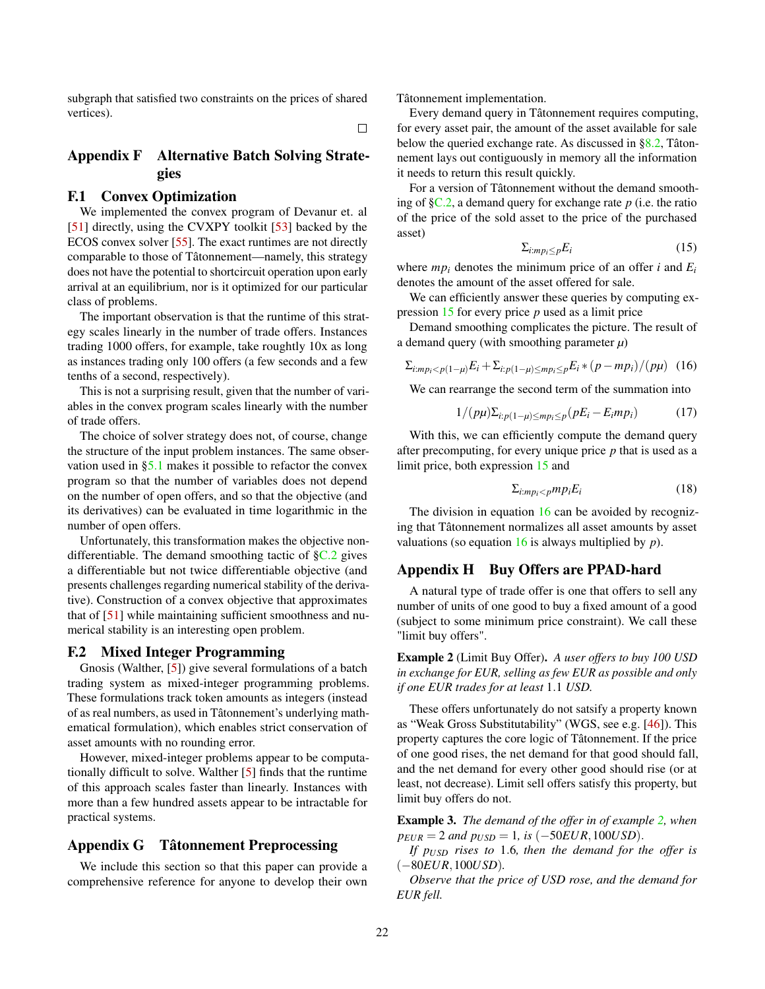subgraph that satisfied two constraints on the prices of shared vertices).

 $\Box$ 

# <span id="page-21-1"></span>Appendix F Alternative Batch Solving Strategies

# F.1 Convex Optimization

We implemented the convex program of Devanur et. al [\[51\]](#page-14-6) directly, using the CVXPY toolkit [\[53\]](#page-14-19) backed by the ECOS convex solver [\[55\]](#page-14-20). The exact runtimes are not directly comparable to those of Tâtonnement—namely, this strategy does not have the potential to shortcircuit operation upon early arrival at an equilibrium, nor is it optimized for our particular class of problems.

The important observation is that the runtime of this strategy scales linearly in the number of trade offers. Instances trading 1000 offers, for example, take roughtly 10x as long as instances trading only 100 offers (a few seconds and a few tenths of a second, respectively).

This is not a surprising result, given that the number of variables in the convex program scales linearly with the number of trade offers.

The choice of solver strategy does not, of course, change the structure of the input problem instances. The same observation used in [§5.1](#page-5-1) makes it possible to refactor the convex program so that the number of variables does not depend on the number of open offers, and so that the objective (and its derivatives) can be evaluated in time logarithmic in the number of open offers.

Unfortunately, this transformation makes the objective nondifferentiable. The demand smoothing tactic of  $\S$ C.2 gives a differentiable but not twice differentiable objective (and presents challenges regarding numerical stability of the derivative). Construction of a convex objective that approximates that of [\[51\]](#page-14-6) while maintaining sufficient smoothness and numerical stability is an interesting open problem.

# F.2 Mixed Integer Programming

Gnosis (Walther, [\[5\]](#page-12-14)) give several formulations of a batch trading system as mixed-integer programming problems. These formulations track token amounts as integers (instead of as real numbers, as used in Tâtonnement's underlying mathematical formulation), which enables strict conservation of asset amounts with no rounding error.

However, mixed-integer problems appear to be computationally difficult to solve. Walther [\[5\]](#page-12-14) finds that the runtime of this approach scales faster than linearly. Instances with more than a few hundred assets appear to be intractable for practical systems.

# <span id="page-21-0"></span>Appendix G Tâtonnement Preprocessing

We include this section so that this paper can provide a comprehensive reference for anyone to develop their own Tâtonnement implementation.

Every demand query in Tâtonnement requires computing, for every asset pair, the amount of the asset available for sale below the queried exchange rate. As discussed in  $\S 8.2$ , Tâtonnement lays out contiguously in memory all the information it needs to return this result quickly.

<span id="page-21-3"></span>For a version of Tâtonnement without the demand smoothing of [§C.2,](#page-19-1) a demand query for exchange rate *p* (i.e. the ratio of the price of the sold asset to the price of the purchased asset)

<span id="page-21-4"></span>
$$
\Sigma_{i:mp_i \le p} E_i \tag{15}
$$

where  $mp<sub>i</sub>$  denotes the minimum price of an offer *i* and  $E<sub>i</sub>$ denotes the amount of the asset offered for sale.

We can efficiently answer these queries by computing expression [15](#page-21-3) for every price *p* used as a limit price

Demand smoothing complicates the picture. The result of a demand query (with smoothing parameter 
$$
\mu
$$
)

$$
\Sigma_{i:mp_i (16)
$$

We can rearrange the second term of the summation into

$$
1/(p\mu)\Sigma_{i:p(1-\mu)\leq mp_i\leq p}(pE_i - E_imp_i)
$$
 (17)

With this, we can efficiently compute the demand query after precomputing, for every unique price *p* that is used as a limit price, both expression [15](#page-21-3) and

$$
\Sigma_{i:mp_i < p} mp_i E_i \tag{18}
$$

The division in equation [16](#page-21-4) can be avoided by recognizing that Tâtonnement normalizes all asset amounts by asset valuations (so equation [16](#page-21-4) is always multiplied by *p*).

# <span id="page-21-2"></span>Appendix H Buy Offers are PPAD-hard

A natural type of trade offer is one that offers to sell any number of units of one good to buy a fixed amount of a good (subject to some minimum price constraint). We call these "limit buy offers".

<span id="page-21-5"></span>Example 2 (Limit Buy Offer). *A user offers to buy 100 USD in exchange for EUR, selling as few EUR as possible and only if one EUR trades for at least* 1.1 *USD.*

These offers unfortunately do not satsify a property known as "Weak Gross Substitutability" (WGS, see e.g. [\[46\]](#page-14-4)). This property captures the core logic of Tâtonnement. If the price of one good rises, the net demand for that good should fall, and the net demand for every other good should rise (or at least, not decrease). Limit sell offers satisfy this property, but limit buy offers do not.

Example 3. *The demand of the offer in of example [2,](#page-21-5) when*  $p_{EUR} = 2$  *and*  $p_{USD} = 1$ *, is* (−50*EUR*, 100*USD*).

*If pUSD rises to* 1.6*, then the demand for the offer is* (−80*EUR*,100*USD*)*.*

*Observe that the price of USD rose, and the demand for EUR fell.*